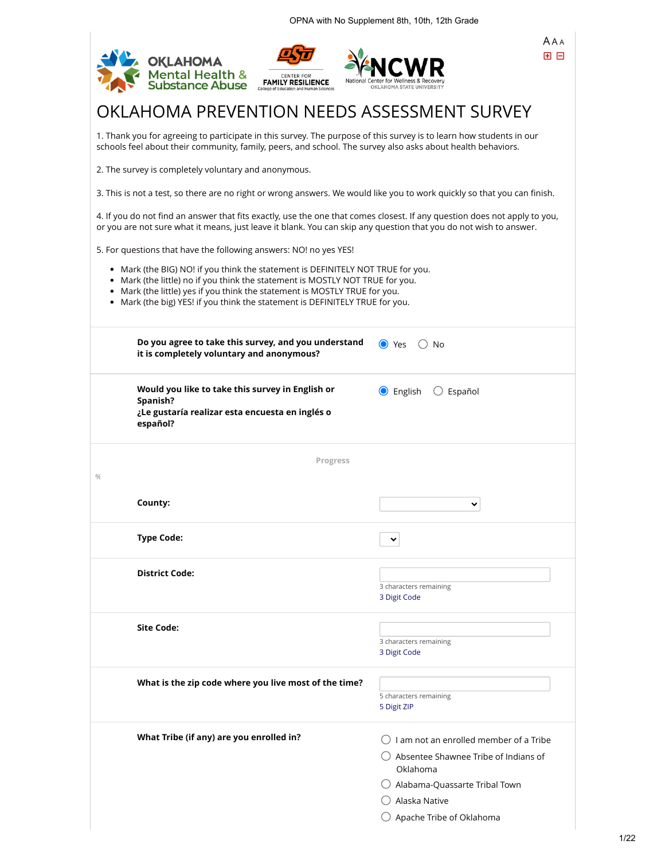|               | <b>OKLAHOMA</b><br>Mental Health &<br>Substance Abuse                                                                                                                                                                                                                                                                      | <b>CENTER FOR</b><br><b>FAMILY RESILIENCE</b> |                                                                                                                                                                                                                                                | AAA<br>田日 |
|---------------|----------------------------------------------------------------------------------------------------------------------------------------------------------------------------------------------------------------------------------------------------------------------------------------------------------------------------|-----------------------------------------------|------------------------------------------------------------------------------------------------------------------------------------------------------------------------------------------------------------------------------------------------|-----------|
|               |                                                                                                                                                                                                                                                                                                                            |                                               | OKLAHOMA PREVENTION NEEDS ASSESSMENT SURVEY                                                                                                                                                                                                    |           |
|               |                                                                                                                                                                                                                                                                                                                            |                                               | 1. Thank you for agreeing to participate in this survey. The purpose of this survey is to learn how students in our<br>schools feel about their community, family, peers, and school. The survey also asks about health behaviors.             |           |
|               | 2. The survey is completely voluntary and anonymous.                                                                                                                                                                                                                                                                       |                                               |                                                                                                                                                                                                                                                |           |
|               |                                                                                                                                                                                                                                                                                                                            |                                               | 3. This is not a test, so there are no right or wrong answers. We would like you to work quickly so that you can finish.                                                                                                                       |           |
|               |                                                                                                                                                                                                                                                                                                                            |                                               | 4. If you do not find an answer that fits exactly, use the one that comes closest. If any question does not apply to you,<br>or you are not sure what it means, just leave it blank. You can skip any question that you do not wish to answer. |           |
|               | 5. For questions that have the following answers: NO! no yes YES!                                                                                                                                                                                                                                                          |                                               |                                                                                                                                                                                                                                                |           |
|               | • Mark (the BIG) NO! if you think the statement is DEFINITELY NOT TRUE for you.<br>• Mark (the little) no if you think the statement is MOSTLY NOT TRUE for you.<br>Mark (the little) yes if you think the statement is MOSTLY TRUE for you.<br>Mark (the big) YES! if you think the statement is DEFINITELY TRUE for you. |                                               |                                                                                                                                                                                                                                                |           |
|               | Do you agree to take this survey, and you understand<br>it is completely voluntary and anonymous?                                                                                                                                                                                                                          |                                               | ● Yes<br>No                                                                                                                                                                                                                                    |           |
|               | Would you like to take this survey in English or<br>Spanish?<br>¿Le gustaría realizar esta encuesta en inglés o<br>español?                                                                                                                                                                                                |                                               | <b>O</b> English<br>Español                                                                                                                                                                                                                    |           |
| $\frac{0}{4}$ |                                                                                                                                                                                                                                                                                                                            | <b>Progress</b>                               |                                                                                                                                                                                                                                                |           |
|               | County:                                                                                                                                                                                                                                                                                                                    |                                               |                                                                                                                                                                                                                                                |           |
|               | <b>Type Code:</b>                                                                                                                                                                                                                                                                                                          |                                               |                                                                                                                                                                                                                                                |           |
|               | <b>District Code:</b>                                                                                                                                                                                                                                                                                                      |                                               | 3 characters remaining<br>3 Digit Code                                                                                                                                                                                                         |           |
|               | <b>Site Code:</b>                                                                                                                                                                                                                                                                                                          |                                               | 3 characters remaining<br>3 Digit Code                                                                                                                                                                                                         |           |
|               | What is the zip code where you live most of the time?                                                                                                                                                                                                                                                                      |                                               | 5 characters remaining                                                                                                                                                                                                                         |           |
|               |                                                                                                                                                                                                                                                                                                                            |                                               | 5 Digit ZIP                                                                                                                                                                                                                                    |           |
|               | What Tribe (if any) are you enrolled in?                                                                                                                                                                                                                                                                                   |                                               | $\bigcirc$ I am not an enrolled member of a Tribe<br>( ) Absentee Shawnee Tribe of Indians of<br>Oklahoma<br>$\bigcirc$ Alabama-Quassarte Tribal Town<br>Alaska Native                                                                         |           |
|               |                                                                                                                                                                                                                                                                                                                            |                                               | Apache Tribe of Oklahoma                                                                                                                                                                                                                       |           |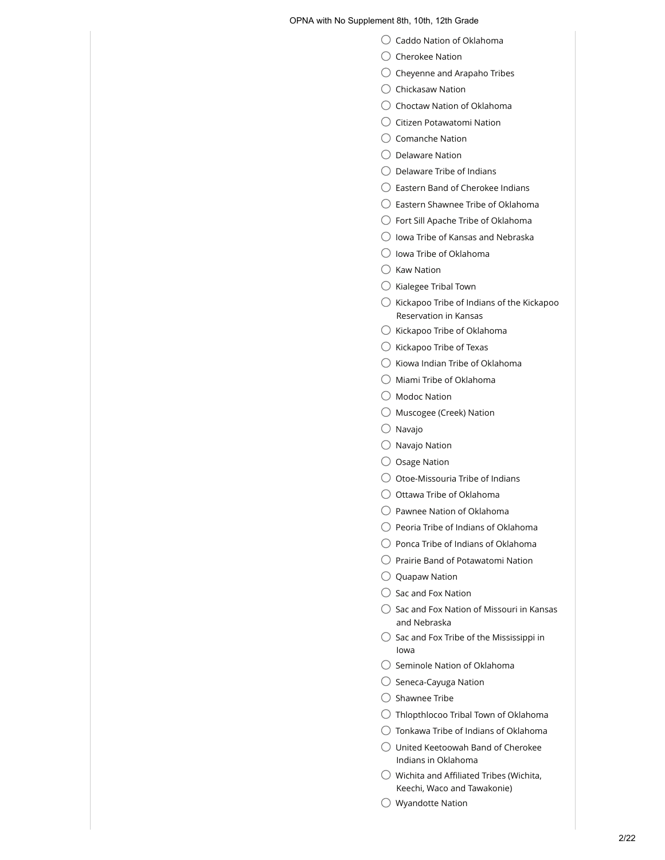- $\bigcirc$  Caddo Nation of Oklahoma
- $\bigcirc$  Cherokee Nation
- $\bigcirc$  Cheyenne and Arapaho Tribes
- $\bigcirc$  Chickasaw Nation
- $\bigcirc$  Choctaw Nation of Oklahoma
- $\bigcirc$  Citizen Potawatomi Nation
- $\bigcirc$  Comanche Nation
- $\bigcirc$  Delaware Nation
- $\bigcirc$  Delaware Tribe of Indians
- $\bigcirc$  Eastern Band of Cherokee Indians
- $\bigcirc$  Eastern Shawnee Tribe of Oklahoma
- Fort Sill Apache Tribe of Oklahoma
- $\bigcirc$  Iowa Tribe of Kansas and Nebraska
- $\bigcirc$  Iowa Tribe of Oklahoma
- $\bigcirc$  Kaw Nation
- $\bigcirc$  Kialegee Tribal Town
- $\bigcirc$  Kickapoo Tribe of Indians of the Kickapoo Reservation in Kansas
- $\bigcirc$  Kickapoo Tribe of Oklahoma
- $\bigcirc$  Kickapoo Tribe of Texas
- $\bigcirc$  Kiowa Indian Tribe of Oklahoma
- $\bigcirc$  Miami Tribe of Oklahoma
- Modoc Nation
- $\bigcirc$  Muscogee (Creek) Nation
- $\bigcirc$  Navajo
- $\bigcirc$  Navajo Nation
- $\bigcirc$  Osage Nation
- $\bigcirc$  Otoe-Missouria Tribe of Indians
- $\bigcirc$  Ottawa Tribe of Oklahoma
- $\bigcirc$  Pawnee Nation of Oklahoma
- $\bigcirc$  Peoria Tribe of Indians of Oklahoma
- $\bigcirc$  Ponca Tribe of Indians of Oklahoma
- $\bigcirc$  Prairie Band of Potawatomi Nation
- $\bigcirc$  Quapaw Nation
- $\bigcirc$  Sac and Fox Nation
- $\bigcirc$  Sac and Fox Nation of Missouri in Kansas and Nebraska
- $\bigcirc$  Sac and Fox Tribe of the Mississippi in Iowa
- $\bigcirc$  Seminole Nation of Oklahoma
- $\bigcirc$  Seneca-Cayuga Nation
- $\bigcirc$  Shawnee Tribe
- $\bigcirc$  Thlopthlocoo Tribal Town of Oklahoma
- $\bigcirc$  Tonkawa Tribe of Indians of Oklahoma
- $\bigcirc$  United Keetoowah Band of Cherokee Indians in Oklahoma
- $\bigcirc$  Wichita and Affiliated Tribes (Wichita, Keechi, Waco and Tawakonie)
- $\bigcirc$  Wyandotte Nation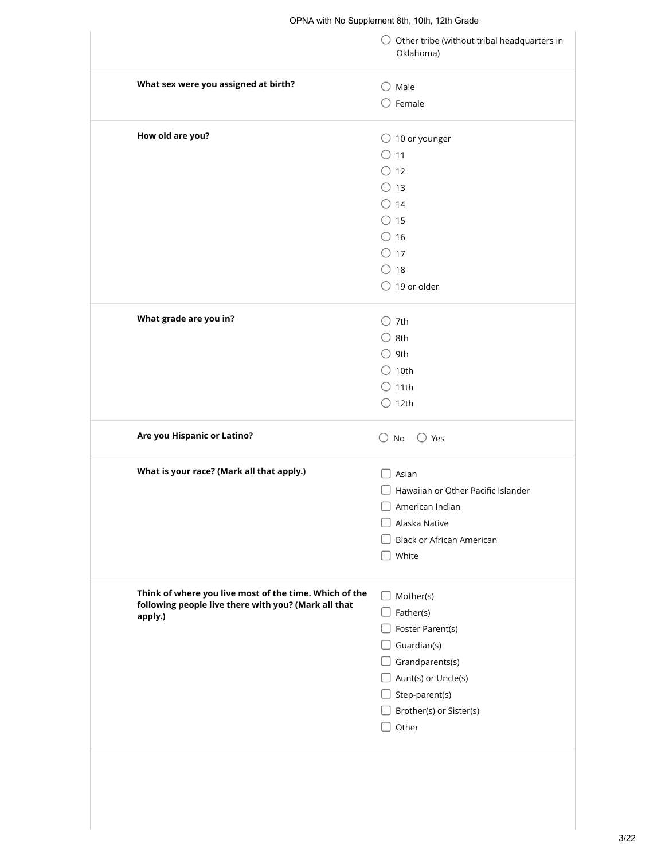|                                                        | $\bigcirc$ Other tribe (without tribal headquarters in<br>Oklahoma) |
|--------------------------------------------------------|---------------------------------------------------------------------|
| What sex were you assigned at birth?                   | $\bigcirc$ Male                                                     |
|                                                        | $\bigcirc$ Female                                                   |
| How old are you?                                       | $\bigcirc$ 10 or younger                                            |
|                                                        | $\bigcirc$ 11                                                       |
|                                                        | $\bigcirc$ 12                                                       |
|                                                        | $\bigcirc$ 13                                                       |
|                                                        | $\bigcirc$ 14                                                       |
|                                                        | $\circ$ 15                                                          |
|                                                        | $\bigcirc$ 16                                                       |
|                                                        | $\circ$ 17                                                          |
|                                                        | $\bigcirc$ 18                                                       |
|                                                        | $\bigcirc$ 19 or older                                              |
| What grade are you in?                                 | $\bigcirc$ 7th                                                      |
|                                                        | $\bigcirc$ 8th                                                      |
|                                                        | $\bigcirc$ 9th                                                      |
|                                                        | $\bigcirc$ 10th                                                     |
|                                                        | $\bigcirc$ 11th                                                     |
|                                                        | $\bigcirc$ 12th                                                     |
| Are you Hispanic or Latino?                            | $\bigcirc$ No<br>$\bigcirc$ Yes                                     |
| What is your race? (Mark all that apply.)              | Asian                                                               |
|                                                        | Hawaiian or Other Pacific Islander                                  |
|                                                        | American Indian                                                     |
|                                                        | Alaska Native                                                       |
|                                                        | <b>Black or African American</b>                                    |
|                                                        | White                                                               |
| Think of where you live most of the time. Which of the |                                                                     |
| following people live there with you? (Mark all that   | Mother(s)                                                           |
| apply.)                                                | Father(s)                                                           |
|                                                        | Foster Parent(s)                                                    |
|                                                        | Guardian(s)                                                         |
|                                                        | Grandparents(s)                                                     |
|                                                        | $\Box$ Aunt(s) or Uncle(s)                                          |
|                                                        | $\Box$ Step-parent(s)                                               |
|                                                        | Brother(s) or Sister(s)                                             |
|                                                        | Other                                                               |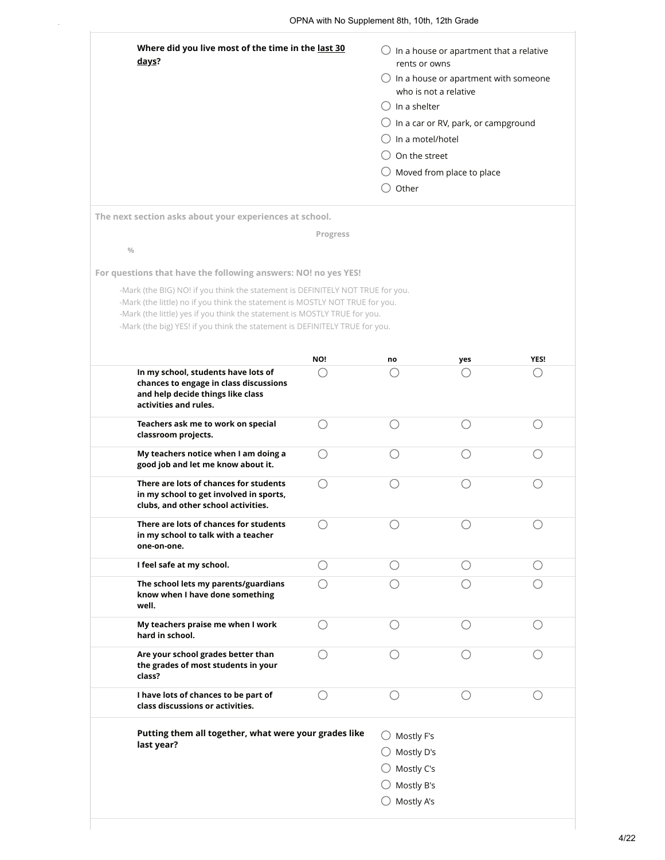| Where did you live most of the time in the last 30<br>days? | In a house or apartment that a relative<br>rents or owns      |
|-------------------------------------------------------------|---------------------------------------------------------------|
|                                                             | In a house or apartment with someone<br>who is not a relative |
|                                                             | In a shelter                                                  |
|                                                             | $\bigcirc$ In a car or RV, park, or campground                |
|                                                             | In a motel/hotel                                              |
|                                                             | On the street                                                 |
|                                                             | Moved from place to place                                     |
|                                                             | Other                                                         |
| The next section asks about your experiences at school.     |                                                               |

**%**

#### **Progress**

**For questions that have the following answers: NO! no yes YES!**

-Mark (the BIG) NO! if you think the statement is DEFINITELY NOT TRUE for you. -Mark (the little) no if you think the statement is MOSTLY NOT TRUE for you. -Mark (the little) yes if you think the statement is MOSTLY TRUE for you. -Mark (the big) YES! if you think the statement is DEFINITELY TRUE for you.

|                                                                                                                                             | NO! | no                                                                 | yes | YES! |
|---------------------------------------------------------------------------------------------------------------------------------------------|-----|--------------------------------------------------------------------|-----|------|
| In my school, students have lots of<br>chances to engage in class discussions<br>and help decide things like class<br>activities and rules. |     |                                                                    |     |      |
| Teachers ask me to work on special<br>classroom projects.                                                                                   | ∩   | ◯                                                                  | ∩   |      |
| My teachers notice when I am doing a<br>good job and let me know about it.                                                                  |     |                                                                    |     |      |
| There are lots of chances for students<br>in my school to get involved in sports,<br>clubs, and other school activities.                    | ()  |                                                                    |     |      |
| There are lots of chances for students<br>in my school to talk with a teacher<br>one-on-one.                                                |     |                                                                    |     |      |
| I feel safe at my school.                                                                                                                   | ∩   | ()                                                                 | ∩   |      |
| The school lets my parents/guardians<br>know when I have done something<br>well.                                                            | ()  |                                                                    |     |      |
| My teachers praise me when I work<br>hard in school.                                                                                        | ( ) | ( )                                                                | ()  |      |
| Are your school grades better than<br>the grades of most students in your<br>class?                                                         | ( ) |                                                                    |     |      |
| I have lots of chances to be part of<br>class discussions or activities.                                                                    | ()  | ⌒                                                                  |     |      |
| Putting them all together, what were your grades like<br>last year?                                                                         |     | Mostly F's<br>Mostly D's<br>Mostly C's<br>Mostly B's<br>Mostly A's |     |      |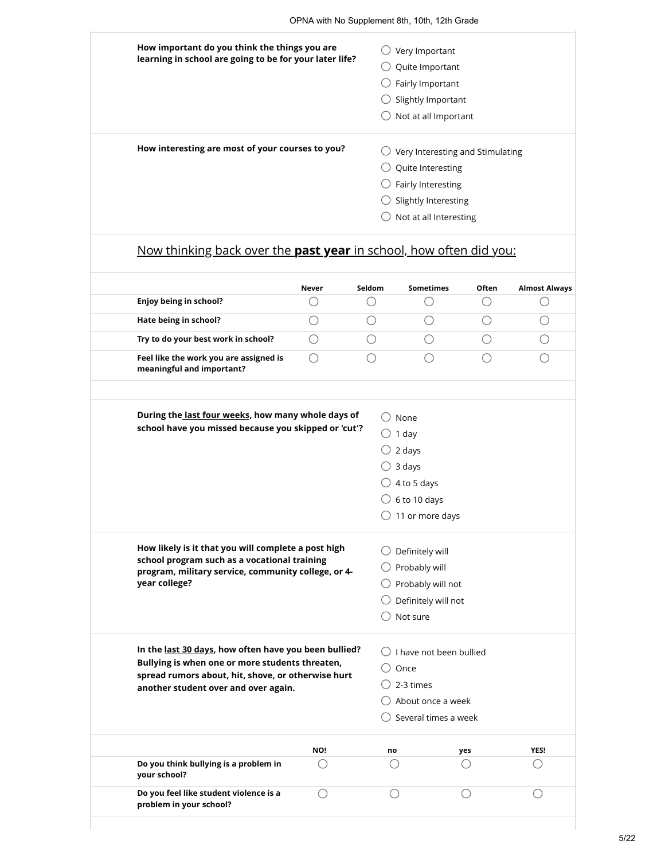|                                                                     | OPNA with No Supplement 8th, 10th, 12th Grade |             |                                                   |            |                           |
|---------------------------------------------------------------------|-----------------------------------------------|-------------|---------------------------------------------------|------------|---------------------------|
| How important do you think the things you are                       |                                               |             | $\bigcirc$ Very Important                         |            |                           |
| learning in school are going to be for your later life?             |                                               |             | $\bigcirc$ Quite Important                        |            |                           |
|                                                                     |                                               |             | $\bigcirc$ Fairly Important                       |            |                           |
|                                                                     |                                               |             | Slightly Important                                |            |                           |
|                                                                     |                                               |             | $\bigcirc$ Not at all Important                   |            |                           |
| How interesting are most of your courses to you?                    |                                               |             | $\bigcirc$ Very Interesting and Stimulating       |            |                           |
|                                                                     |                                               |             | $\bigcirc$ Quite Interesting                      |            |                           |
|                                                                     |                                               |             | $\bigcirc$ Fairly Interesting                     |            |                           |
|                                                                     |                                               |             | $\bigcirc$ Slightly Interesting                   |            |                           |
|                                                                     |                                               |             | Not at all Interesting                            |            |                           |
| Now thinking back over the past year in school, how often did you:  |                                               |             |                                                   |            |                           |
| Enjoy being in school?                                              | Never<br>( )                                  | Seldom<br>O | <b>Sometimes</b>                                  | Often<br>O | <b>Almost Always</b><br>O |
| Hate being in school?                                               | $\bigcirc$                                    | $\bigcirc$  | $\bigcirc$                                        | $\bigcirc$ | $\bigcirc$                |
| Try to do your best work in school?                                 | $\bigcirc$                                    | $\bigcirc$  | О                                                 | $\bigcirc$ | $\bigcirc$                |
| Feel like the work you are assigned is<br>meaningful and important? | $\bigcirc$                                    | ∩           | ∩                                                 | ∩          | ∩                         |
| During the last four weeks, how many whole days of                  |                                               |             | $\bigcirc$ None                                   |            |                           |
| school have you missed because you skipped or 'cut'?                |                                               |             | $\bigcirc$ 1 day                                  |            |                           |
|                                                                     |                                               |             | $\bigcirc$ 2 days                                 |            |                           |
|                                                                     |                                               |             | $\bigcirc$ 3 days                                 |            |                           |
|                                                                     |                                               |             | $\bigcirc$ 4 to 5 days<br>$\bigcirc$ 6 to 10 days |            |                           |

| Definitely will<br>$\bigcirc$ Probably will<br>$\bigcirc$ Probably will not<br>$\bigcirc$ Definitely will not |
|---------------------------------------------------------------------------------------------------------------|
|                                                                                                               |

 $\bigcirc$  11 or more days

| In the last 30 days, how often have you been bullied?<br>Bullying is when one or more students threaten.<br>spread rumors about, hit, shove, or otherwise hurt<br>another student over and over again. |     |    | I have not been bullied<br>Once<br>2-3 times<br>About once a week<br>Several times a week |             |  |  |  |
|--------------------------------------------------------------------------------------------------------------------------------------------------------------------------------------------------------|-----|----|-------------------------------------------------------------------------------------------|-------------|--|--|--|
|                                                                                                                                                                                                        | NO! | no | yes                                                                                       | <b>YES!</b> |  |  |  |
| Do you think bullying is a problem in<br>your school?                                                                                                                                                  |     |    |                                                                                           |             |  |  |  |
| Do you feel like student violence is a<br>problem in your school?                                                                                                                                      |     |    |                                                                                           |             |  |  |  |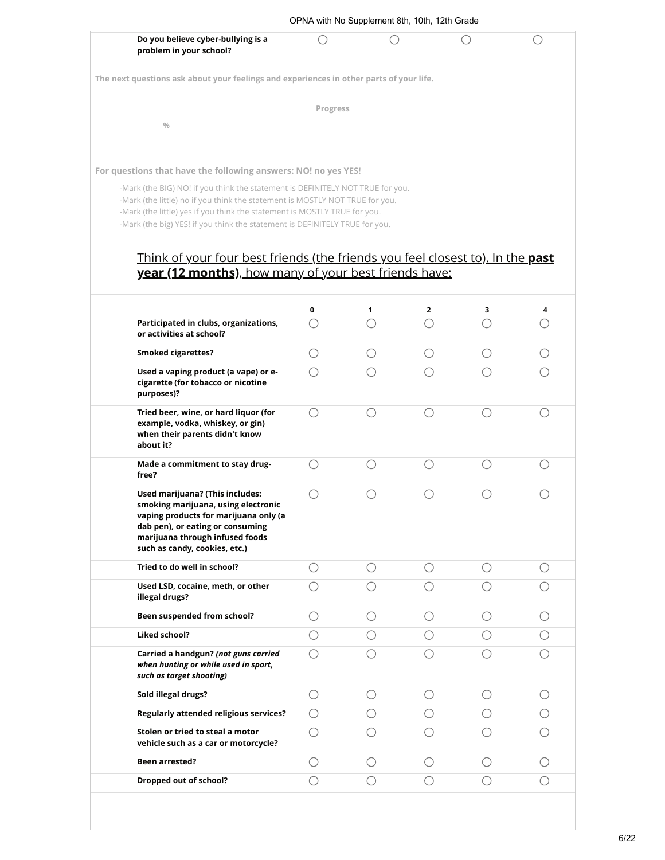| Do you believe cyber-bullying is a                                                                                                                                                                                                                                                                                         |                                             |            |            |                                             |    |
|----------------------------------------------------------------------------------------------------------------------------------------------------------------------------------------------------------------------------------------------------------------------------------------------------------------------------|---------------------------------------------|------------|------------|---------------------------------------------|----|
| problem in your school?                                                                                                                                                                                                                                                                                                    |                                             |            |            |                                             | () |
| The next questions ask about your feelings and experiences in other parts of your life.                                                                                                                                                                                                                                    |                                             |            |            |                                             |    |
|                                                                                                                                                                                                                                                                                                                            | Progress                                    |            |            |                                             |    |
| $\frac{0}{0}$                                                                                                                                                                                                                                                                                                              |                                             |            |            |                                             |    |
|                                                                                                                                                                                                                                                                                                                            |                                             |            |            |                                             |    |
| For questions that have the following answers: NO! no yes YES!                                                                                                                                                                                                                                                             |                                             |            |            |                                             |    |
| -Mark (the BIG) NO! if you think the statement is DEFINITELY NOT TRUE for you.<br>-Mark (the little) no if you think the statement is MOSTLY NOT TRUE for you.<br>-Mark (the little) yes if you think the statement is MOSTLY TRUE for you.<br>-Mark (the big) YES! if you think the statement is DEFINITELY TRUE for you. |                                             |            |            |                                             |    |
| Think of your four best friends (the friends you feel closest to). In the past<br>year (12 months), how many of your best friends have:                                                                                                                                                                                    |                                             |            |            |                                             |    |
|                                                                                                                                                                                                                                                                                                                            | 0                                           | 1          | 2          | з                                           |    |
| Participated in clubs, organizations,<br>or activities at school?                                                                                                                                                                                                                                                          | €                                           | ◯          | ∩          | ∩                                           |    |
| <b>Smoked cigarettes?</b>                                                                                                                                                                                                                                                                                                  | $\bigcirc$                                  | $\bigcirc$ | $\bigcirc$ | $\bigcirc$                                  |    |
| Used a vaping product (a vape) or e-<br>cigarette (for tobacco or nicotine<br>purposes)?                                                                                                                                                                                                                                   | ◯                                           | ∩          | ∩          | ∩                                           |    |
| Tried beer, wine, or hard liquor (for<br>example, vodka, whiskey, or gin)<br>when their parents didn't know<br>about it?                                                                                                                                                                                                   | $\bigcirc$                                  | $\bigcirc$ | $\bigcirc$ | $\bigcirc$                                  |    |
| Made a commitment to stay drug-<br>free?                                                                                                                                                                                                                                                                                   | O                                           | $\bigcirc$ | $\bigcirc$ | ∩                                           |    |
| Used marijuana? (This includes:<br>smoking marijuana, using electronic<br>vaping products for marijuana only (a<br>dab pen), or eating or consuming<br>marijuana through infused foods<br>such as candy, cookies, etc.)                                                                                                    | O                                           | O          | O          | $\left(\begin{array}{c} \end{array}\right)$ |    |
| Tried to do well in school?                                                                                                                                                                                                                                                                                                | Ω                                           | ()         | $\bigcirc$ | ◯                                           |    |
| Used LSD, cocaine, meth, or other<br>illegal drugs?                                                                                                                                                                                                                                                                        | ( )                                         |            | ()         |                                             |    |
| Been suspended from school?                                                                                                                                                                                                                                                                                                | ()                                          | ()         | ( )        | $($ )                                       |    |
| <b>Liked school?</b>                                                                                                                                                                                                                                                                                                       | ()                                          |            | $($ )      |                                             |    |
| Carried a handgun? (not guns carried<br>when hunting or while used in sport,<br>such as target shooting)                                                                                                                                                                                                                   | ◯                                           | ◯          | ◯          |                                             |    |
| Sold illegal drugs?                                                                                                                                                                                                                                                                                                        | O                                           | ()         | ( )        | ( )                                         |    |
|                                                                                                                                                                                                                                                                                                                            | $\left(\begin{array}{c} \end{array}\right)$ |            | $($ )      |                                             |    |
| <b>Regularly attended religious services?</b>                                                                                                                                                                                                                                                                              |                                             |            |            |                                             |    |
| Stolen or tried to steal a motor<br>vehicle such as a car or motorcycle?                                                                                                                                                                                                                                                   | Ω                                           |            | ( )        |                                             |    |
| Been arrested?                                                                                                                                                                                                                                                                                                             | ()                                          | ()         | ( )        | $($ )                                       |    |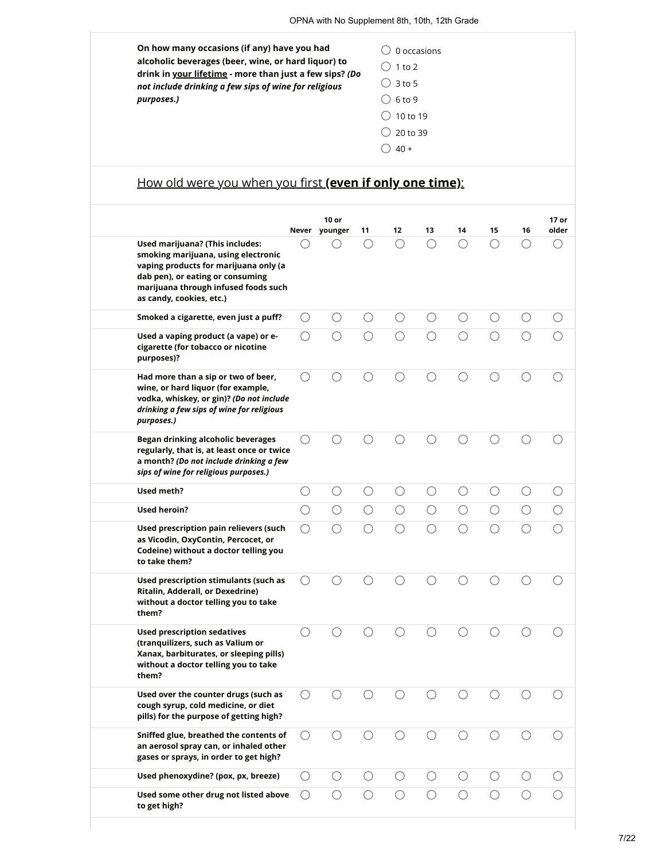**On how many occasions (if any) have you had alcoholic beverages (beer, wine, or hard liquor) to drink in your lifetime - more than just a few sips?** *(Do not include drinking a few sips of wine for religious purposes.)*  $\bigcirc$  0 occasions  $\bigcirc$  1 to 2  $\bigcirc$  3 to 5  $\bigcirc$  6 to 9  $\bigcirc$  10 to 19  $\bigcirc$  20 to 39  $\bigcirc$  40 +

## How old were you when you first **(even if only one time)**:

|                                                                                                                                                                                                                         |            | $10$ or<br>Never younger | 11         | 12         | 13         | 14         | 15                                          | 16         | 17 or<br>older |
|-------------------------------------------------------------------------------------------------------------------------------------------------------------------------------------------------------------------------|------------|--------------------------|------------|------------|------------|------------|---------------------------------------------|------------|----------------|
| Used marijuana? (This includes:<br>smoking marijuana, using electronic<br>vaping products for marijuana only (a<br>dab pen), or eating or consuming<br>marijuana through infused foods such<br>as candy, cookies, etc.) |            |                          |            | ∩          | ∩          | ∩          | ◯                                           | ◯          |                |
| Smoked a cigarette, even just a puff?                                                                                                                                                                                   | O          | ∩                        | О          | О          | О          | О          | $\left(\begin{array}{c} \end{array}\right)$ | О          |                |
| Used a vaping product (a vape) or e-<br>cigarette (for tobacco or nicotine<br>purposes)?                                                                                                                                |            |                          |            |            |            | ∩          |                                             |            |                |
| Had more than a sip or two of beer,<br>wine, or hard liquor (for example,<br>vodka, whiskey, or gin)? (Do not include<br>drinking a few sips of wine for religious<br>purposes.)                                        | ◯          | ∩                        |            | ∩          | ∩          | ∩          | ( )                                         | ◯          |                |
| Began drinking alcoholic beverages<br>regularly, that is, at least once or twice<br>a month? (Do not include drinking a few<br>sips of wine for religious purposes.)                                                    | ( )        |                          |            |            |            |            |                                             |            |                |
| Used meth?                                                                                                                                                                                                              | О          | O                        | О          | O          | $\bigcirc$ | $\bigcirc$ | Ω                                           | $\bigcirc$ | ◯              |
| <b>Used heroin?</b>                                                                                                                                                                                                     | $\bigcirc$ | $\bigcirc$               | $\bigcirc$ | $\bigcirc$ | $\bigcirc$ | $\bigcirc$ | $\bigcirc$                                  | $\bigcirc$ |                |
| Used prescription pain relievers (such<br>as Vicodin, OxyContin, Percocet, or<br>Codeine) without a doctor telling you<br>to take them?                                                                                 | ◯          | ∩                        |            | ∩          | ∩          | ∩          |                                             |            |                |
| Used prescription stimulants (such as<br>Ritalin, Adderall, or Dexedrine)<br>without a doctor telling you to take<br>them?                                                                                              |            |                          |            |            |            |            |                                             |            |                |
| <b>Used prescription sedatives</b><br>(tranquilizers, such as Valium or<br>Xanax, barbiturates, or sleeping pills)<br>without a doctor telling you to take<br>them?                                                     | ( )        |                          |            |            |            |            |                                             |            |                |
| Used over the counter drugs (such as<br>cough syrup, cold medicine, or diet<br>pills) for the purpose of getting high?                                                                                                  |            |                          |            |            |            |            |                                             |            |                |
| Sniffed glue, breathed the contents of<br>an aerosol spray can, or inhaled other<br>gases or sprays, in order to get high?                                                                                              | $\bigcirc$ | $\bigcirc$               | О          | $\bigcirc$ | $\bigcirc$ | $\bigcirc$ | О                                           | $\bigcirc$ | О              |
| Used phenoxydine? (pox, px, breeze)                                                                                                                                                                                     | $\bigcirc$ | $\bigcirc$               | $\bigcirc$ | $\bigcirc$ | $\bigcirc$ | $\bigcirc$ | О                                           | $\bigcirc$ | ∩              |
| Used some other drug not listed above<br>to get high?                                                                                                                                                                   | O          | О                        | ∩          | ∩          | ◯          | $\bigcirc$ |                                             | ∩          | ○              |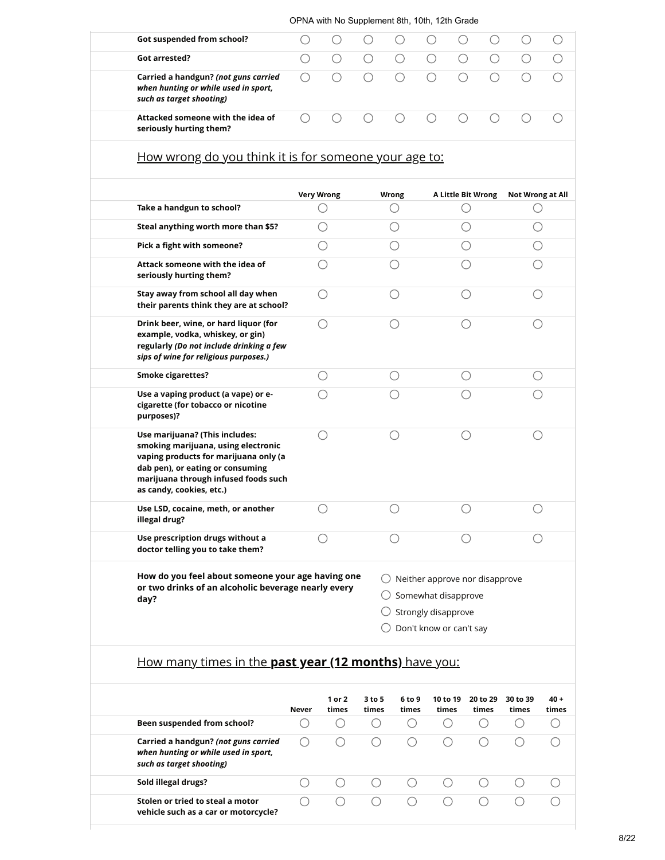|                                                                                                                                                                                                                        |            | OPNA with No Supplement 8th, 10th, 12th Grade |            |                                           |                                             |                                                            |            |                  |            |
|------------------------------------------------------------------------------------------------------------------------------------------------------------------------------------------------------------------------|------------|-----------------------------------------------|------------|-------------------------------------------|---------------------------------------------|------------------------------------------------------------|------------|------------------|------------|
| Got suspended from school?                                                                                                                                                                                             | ∩          |                                               |            | ()                                        | $\left(\begin{array}{c} \end{array}\right)$ | ∩                                                          | O          | $\bigcirc$       | $\bigcirc$ |
| Got arrested?                                                                                                                                                                                                          | $\bigcirc$ | $\bigcirc$                                    | $\bigcirc$ | $\bigcirc$                                | $\bigcirc$                                  | $\bigcirc$                                                 | $\bigcirc$ | $\bigcirc$       | $\bigcirc$ |
| Carried a handgun? (not guns carried<br>when hunting or while used in sport,<br>such as target shooting)                                                                                                               | $\bigcirc$ | $\bigcirc$                                    | $\bigcirc$ | $\bigcirc$                                | $\bigcirc$                                  | $\bigcirc$                                                 | O          | О                | ()         |
| Attacked someone with the idea of<br>seriously hurting them?                                                                                                                                                           | $\bigcirc$ | ◯                                             | ○          | $\bigcirc$                                | ∩                                           | $\bigcirc$                                                 | O          | О                | ◯          |
| How wrong do you think it is for someone your age to:                                                                                                                                                                  |            |                                               |            |                                           |                                             |                                                            |            |                  |            |
|                                                                                                                                                                                                                        |            | <b>Very Wrong</b>                             |            | <b>Wrong</b>                              |                                             | <b>A Little Bit Wrong</b>                                  |            | Not Wrong at All |            |
| Take a handgun to school?                                                                                                                                                                                              |            | ( )                                           |            | О                                         |                                             | O                                                          |            | ()               |            |
| Steal anything worth more than \$5?                                                                                                                                                                                    |            | ()                                            |            | ()                                        |                                             | ()                                                         |            | ()               |            |
| Pick a fight with someone?                                                                                                                                                                                             |            | O                                             |            | ()                                        |                                             | ()                                                         |            |                  |            |
| Attack someone with the idea of<br>seriously hurting them?                                                                                                                                                             |            | $\bigcirc$                                    |            | ∩                                         |                                             | O                                                          |            |                  |            |
| Stay away from school all day when<br>their parents think they are at school?                                                                                                                                          |            | $\left(\right)$                               |            | ∩                                         |                                             | ∩                                                          |            | ()               |            |
| Drink beer, wine, or hard liquor (for<br>example, vodka, whiskey, or gin)<br>regularly (Do not include drinking a few<br>sips of wine for religious purposes.)                                                         |            | ()                                            |            | $( \ )$                                   |                                             | ()                                                         |            |                  |            |
| <b>Smoke cigarettes?</b>                                                                                                                                                                                               |            | O                                             |            | O                                         |                                             | $\bigcirc$                                                 |            |                  |            |
| Use a vaping product (a vape) or e-<br>cigarette (for tobacco or nicotine<br>purposes)?                                                                                                                                |            | $\bigcirc$                                    |            | ○                                         |                                             | O                                                          |            |                  |            |
| Use marijuana? (This includes:<br>smoking marijuana, using electronic<br>vaping products for marijuana only (a<br>dab pen), or eating or consuming<br>marijuana through infused foods such<br>as candy, cookies, etc.) |            | ◯                                             |            | ()                                        |                                             | $\left(\begin{smallmatrix} \ \ \ \end{smallmatrix}\right)$ |            |                  |            |
| Use LSD, cocaine, meth, or another<br>illegal drug?                                                                                                                                                                    |            |                                               |            |                                           |                                             |                                                            |            |                  |            |
| Use prescription drugs without a<br>doctor telling you to take them?                                                                                                                                                   |            | О                                             |            | ∩                                         |                                             | ∩                                                          |            | ()               |            |
| How do you feel about someone your age having one<br>or two drinks of an alcoholic beverage nearly every<br>day?                                                                                                       |            |                                               |            | $\bigcirc$ Neither approve nor disapprove | Strongly disapprove                         | Somewhat disapprove<br>Don't know or can't say             |            |                  |            |
| How many times in the past year (12 months) have you:                                                                                                                                                                  |            |                                               |            |                                           |                                             |                                                            |            |                  |            |
|                                                                                                                                                                                                                        |            | 1 or 2                                        | 3 to 5     | 6 to 9                                    |                                             | 10 to 19                                                   | 20 to 29   | 30 to 39         | $40 +$     |
| <b>Reen suspended from school?</b>                                                                                                                                                                                     | Never      | times                                         | times      | times<br>∩                                |                                             | times                                                      | times<br>∩ | times            | times      |

| Been suspended from school?                                                                              |  |  |  |  |
|----------------------------------------------------------------------------------------------------------|--|--|--|--|
| Carried a handgun? (not guns carried<br>when hunting or while used in sport,<br>such as target shooting) |  |  |  |  |
| Sold illegal drugs?                                                                                      |  |  |  |  |
| Stolen or tried to steal a motor<br>vehicle such as a car or motorcycle?                                 |  |  |  |  |
|                                                                                                          |  |  |  |  |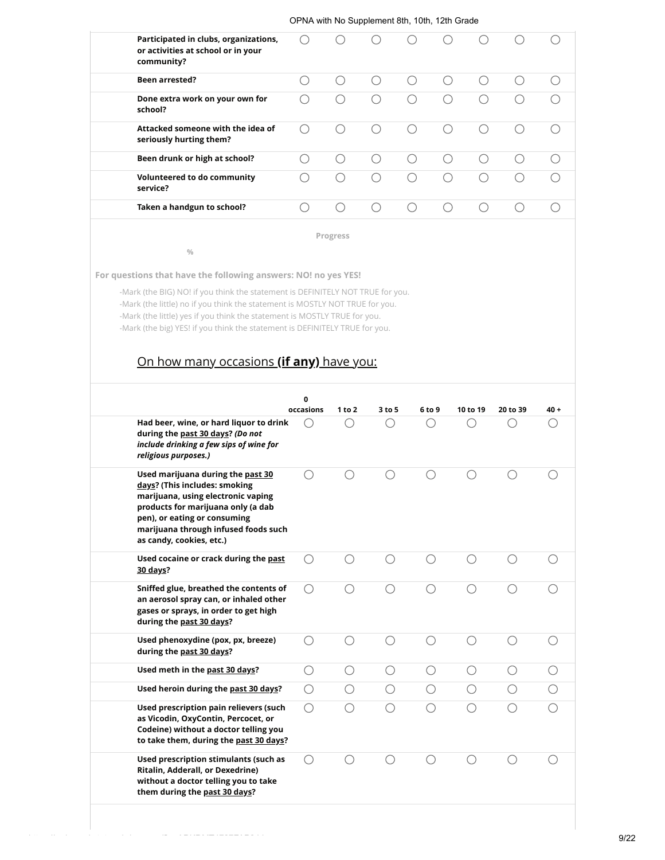| Participated in clubs, organizations,<br>or activities at school or in your<br>community? |   |  |  |  |
|-------------------------------------------------------------------------------------------|---|--|--|--|
| <b>Been arrested?</b>                                                                     |   |  |  |  |
| Done extra work on your own for<br>school?                                                | ( |  |  |  |
| Attacked someone with the idea of<br>seriously hurting them?                              |   |  |  |  |
| Been drunk or high at school?                                                             |   |  |  |  |
| Volunteered to do community<br>service?                                                   |   |  |  |  |
| Taken a handgun to school?                                                                |   |  |  |  |

**Progress**

**For questions that have the following answers: NO! no yes YES!**

**%**

-Mark (the BIG) NO! if you think the statement is DEFINITELY NOT TRUE for you. -Mark (the little) no if you think the statement is MOSTLY NOT TRUE for you. -Mark (the little) yes if you think the statement is MOSTLY TRUE for you. -Mark (the big) YES! if you think the statement is DEFINITELY TRUE for you.

# On how many occasions **(if any)** have you:

|                                                                                                                                                                                                                                                    | 0<br>occasions | 1 to 2  | 3 to 5 | 6 to 9 | 10 to 19 | 20 to 39 | $40 +$ |
|----------------------------------------------------------------------------------------------------------------------------------------------------------------------------------------------------------------------------------------------------|----------------|---------|--------|--------|----------|----------|--------|
| Had beer, wine, or hard liquor to drink<br>during the past 30 days? (Do not<br>include drinking a few sips of wine for<br>religious purposes.)                                                                                                     | $( \ )$        |         |        |        |          |          |        |
| Used marijuana during the past 30<br>days? (This includes: smoking<br>marijuana, using electronic vaping<br>products for marijuana only (a dab<br>pen), or eating or consuming<br>marijuana through infused foods such<br>as candy, cookies, etc.) | ( )            |         |        |        |          |          |        |
| Used cocaine or crack during the past<br>30 days?                                                                                                                                                                                                  | ∩              |         |        |        |          |          |        |
| Sniffed glue, breathed the contents of<br>an aerosol spray can, or inhaled other<br>gases or sprays, in order to get high<br>during the past 30 days?                                                                                              | ( )            |         |        |        |          |          |        |
| Used phenoxydine (pox, px, breeze)<br>during the past 30 days?                                                                                                                                                                                     | ◯              |         |        |        |          |          |        |
| Used meth in the past 30 days?                                                                                                                                                                                                                     | ∩              | ()      | ∩      |        | ∩        | ()       |        |
| Used heroin during the past 30 days?                                                                                                                                                                                                               | ○              | $( \ )$ | ◯      |        | ()       | ( )      |        |
| Used prescription pain relievers (such<br>as Vicodin, OxyContin, Percocet, or<br>Codeine) without a doctor telling you<br>to take them, during the past 30 days?                                                                                   | ∩              |         |        |        |          |          |        |
| Used prescription stimulants (such as<br>Ritalin, Adderall, or Dexedrine)<br>without a doctor telling you to take<br>them during the past 30 days?                                                                                                 | $( \ )$        |         |        |        |          |          |        |
|                                                                                                                                                                                                                                                    |                |         |        |        |          |          |        |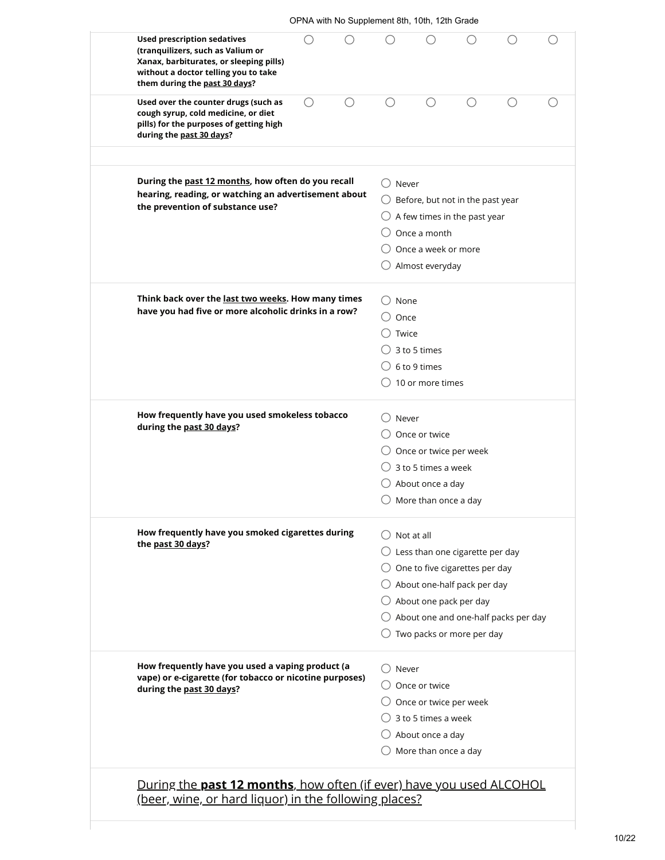| <b>Used prescription sedatives</b><br>(tranquilizers, such as Valium or<br>Xanax, barbiturates, or sleeping pills)<br>without a doctor telling you to take<br>them during the past 30 days? | ( ) |   |                                            |                                                                                                                              |                                                                                                                                                                                                                                                        | ⊖ | ( ) |
|---------------------------------------------------------------------------------------------------------------------------------------------------------------------------------------------|-----|---|--------------------------------------------|------------------------------------------------------------------------------------------------------------------------------|--------------------------------------------------------------------------------------------------------------------------------------------------------------------------------------------------------------------------------------------------------|---|-----|
| Used over the counter drugs (such as<br>cough syrup, cold medicine, or diet<br>pills) for the purposes of getting high<br>during the past 30 days?                                          | О   | ◯ | ∩                                          |                                                                                                                              | ∩                                                                                                                                                                                                                                                      | ∩ | C   |
| During the past 12 months, how often do you recall<br>hearing, reading, or watching an advertisement about<br>the prevention of substance use?                                              |     |   | $\bigcirc$ Never                           |                                                                                                                              | $\bigcirc$ Before, but not in the past year<br>$\bigcirc$ A few times in the past year                                                                                                                                                                 |   |     |
|                                                                                                                                                                                             |     |   |                                            | Once a month<br>Once a week or more<br>$\bigcirc$ Almost everyday                                                            |                                                                                                                                                                                                                                                        |   |     |
| Think back over the last two weeks. How many times<br>have you had five or more alcoholic drinks in a row?                                                                                  |     |   | $\cup$ None<br>$\cup$ Once<br>$\cup$ Twice | $\bigcirc$ 3 to 5 times                                                                                                      |                                                                                                                                                                                                                                                        |   |     |
|                                                                                                                                                                                             |     |   |                                            | $\bigcirc$ 6 to 9 times<br>$\bigcirc$ 10 or more times                                                                       |                                                                                                                                                                                                                                                        |   |     |
| How frequently have you used smokeless tobacco<br>during the past 30 days?                                                                                                                  |     |   | ( )Never                                   | Once or twice<br>3 to 5 times a week<br>$\bigcirc$ About once a day<br>$\bigcirc$ More than once a day                       | $\bigcirc$ Once or twice per week                                                                                                                                                                                                                      |   |     |
| How frequently have you smoked cigarettes during<br>the past 30 days?                                                                                                                       |     |   | $\bigcirc$ Not at all                      |                                                                                                                              | $\bigcirc$ Less than one cigarette per day<br>$\bigcirc$ One to five cigarettes per day<br>$\bigcirc$ About one-half pack per day<br>$\bigcirc$ About one pack per day<br>$\bigcirc$ About one and one-half packs per day<br>Two packs or more per day |   |     |
| How frequently have you used a vaping product (a<br>vape) or e-cigarette (for tobacco or nicotine purposes)<br>during the past 30 days?                                                     |     |   | $\cup$ Never                               | $\bigcirc$ Once or twice<br>$\bigcirc$ 3 to 5 times a week<br>$\bigcirc$ About once a day<br>$\bigcirc$ More than once a day | $\bigcirc$ Once or twice per week                                                                                                                                                                                                                      |   |     |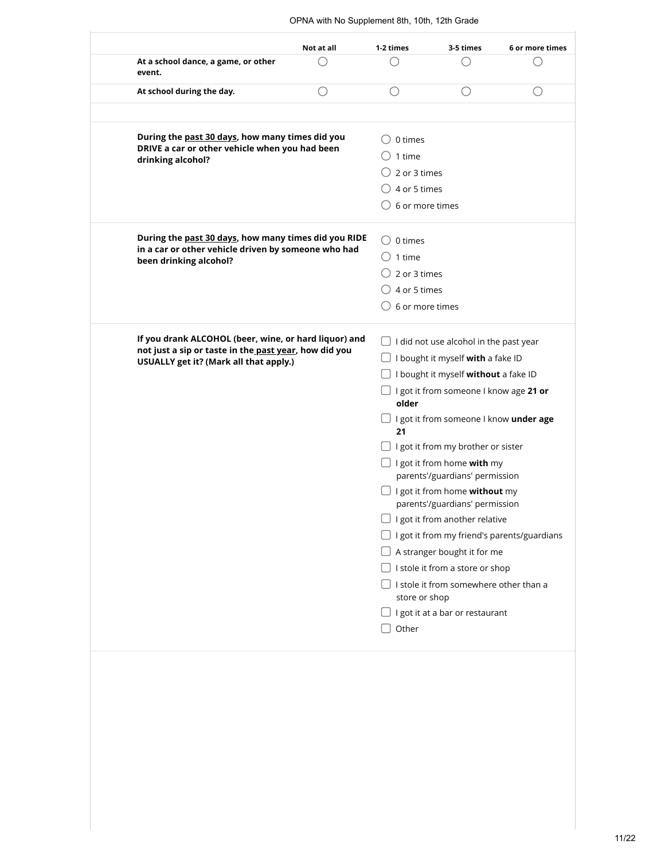|                                                                               | Not at all                                                                                        | 1-2 times                            | 3-5 times                                                    | 6 or more times                                    |  |  |  |
|-------------------------------------------------------------------------------|---------------------------------------------------------------------------------------------------|--------------------------------------|--------------------------------------------------------------|----------------------------------------------------|--|--|--|
| At a school dance, a game, or other<br>event.                                 |                                                                                                   |                                      |                                                              |                                                    |  |  |  |
| At school during the day.                                                     | ()                                                                                                | ()                                   | ()                                                           |                                                    |  |  |  |
|                                                                               |                                                                                                   |                                      |                                                              |                                                    |  |  |  |
|                                                                               | During the past 30 days, how many times did you<br>DRIVE a car or other vehicle when you had been |                                      |                                                              |                                                    |  |  |  |
| drinking alcohol?                                                             |                                                                                                   |                                      |                                                              |                                                    |  |  |  |
|                                                                               |                                                                                                   | 2 or 3 times                         |                                                              |                                                    |  |  |  |
|                                                                               |                                                                                                   | 4 or 5 times                         |                                                              |                                                    |  |  |  |
|                                                                               |                                                                                                   | 6 or more times                      |                                                              |                                                    |  |  |  |
| During the past 30 days, how many times did you RIDE                          |                                                                                                   | 0 times                              |                                                              |                                                    |  |  |  |
| in a car or other vehicle driven by someone who had<br>been drinking alcohol? |                                                                                                   | 1 time                               |                                                              |                                                    |  |  |  |
|                                                                               |                                                                                                   | 2 or 3 times                         |                                                              |                                                    |  |  |  |
|                                                                               |                                                                                                   |                                      | 4 or 5 times                                                 |                                                    |  |  |  |
|                                                                               |                                                                                                   | 6 or more times                      |                                                              |                                                    |  |  |  |
| If you drank ALCOHOL (beer, wine, or hard liquor) and                         |                                                                                                   |                                      | I did not use alcohol in the past year                       |                                                    |  |  |  |
| not just a sip or taste in the past year, how did you                         |                                                                                                   | I bought it myself with a fake ID    |                                                              |                                                    |  |  |  |
| USUALLY get it? (Mark all that apply.)                                        |                                                                                                   | I bought it myself without a fake ID |                                                              |                                                    |  |  |  |
|                                                                               |                                                                                                   | older                                | I got it from someone I know age 21 or                       |                                                    |  |  |  |
|                                                                               |                                                                                                   | 21                                   | I got it from someone I know under age                       |                                                    |  |  |  |
|                                                                               |                                                                                                   |                                      | I got it from my brother or sister                           |                                                    |  |  |  |
|                                                                               |                                                                                                   |                                      | I got it from home with my<br>parents'/guardians' permission |                                                    |  |  |  |
|                                                                               |                                                                                                   |                                      | $\Box$ I got it from home <b>without</b> my                  |                                                    |  |  |  |
|                                                                               |                                                                                                   |                                      | parents'/guardians' permission                               |                                                    |  |  |  |
|                                                                               |                                                                                                   |                                      | $\Box$ I got it from another relative                        |                                                    |  |  |  |
|                                                                               |                                                                                                   |                                      |                                                              | $\Box$ I got it from my friend's parents/guardians |  |  |  |
|                                                                               |                                                                                                   |                                      |                                                              |                                                    |  |  |  |
|                                                                               |                                                                                                   | A stranger bought it for me          |                                                              |                                                    |  |  |  |
|                                                                               |                                                                                                   |                                      | I stole it from a store or shop                              |                                                    |  |  |  |
|                                                                               |                                                                                                   | store or shop                        | I stole it from somewhere other than a                       |                                                    |  |  |  |
|                                                                               |                                                                                                   |                                      | I got it at a bar or restaurant                              |                                                    |  |  |  |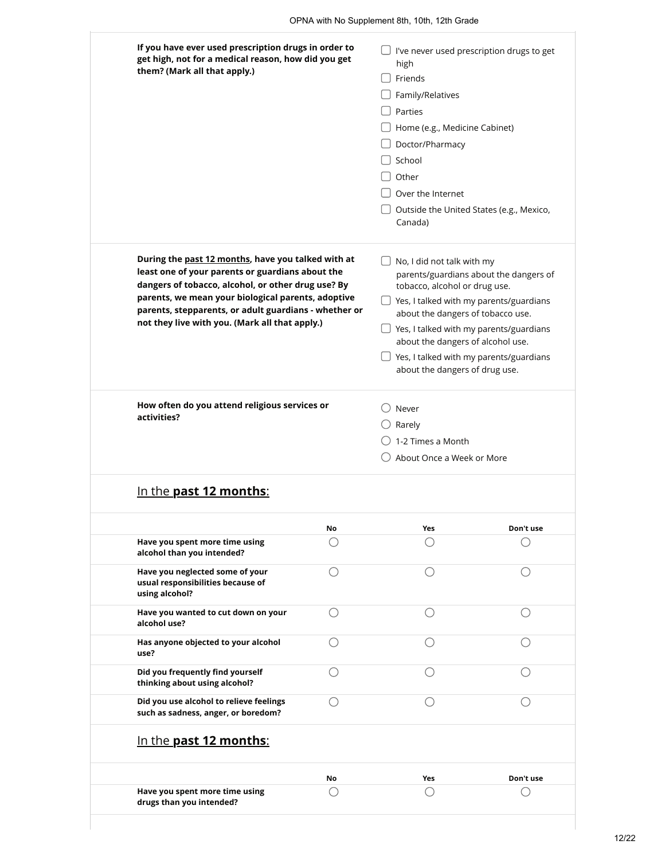| If you have ever used prescription drugs in order to<br>get high, not for a medical reason, how did you get<br>them? (Mark all that apply.)                                                                                                                                                                                   |    | I've never used prescription drugs to get<br>high<br>Friends<br>Family/Relatives<br>Parties<br>Home (e.g., Medicine Cabinet)<br>Doctor/Pharmacy<br>School<br>Other<br>Over the Internet                                                                                                                                                                   |           |  |  |
|-------------------------------------------------------------------------------------------------------------------------------------------------------------------------------------------------------------------------------------------------------------------------------------------------------------------------------|----|-----------------------------------------------------------------------------------------------------------------------------------------------------------------------------------------------------------------------------------------------------------------------------------------------------------------------------------------------------------|-----------|--|--|
|                                                                                                                                                                                                                                                                                                                               |    | Outside the United States (e.g., Mexico,<br>Canada)                                                                                                                                                                                                                                                                                                       |           |  |  |
| During the past 12 months, have you talked with at<br>least one of your parents or guardians about the<br>dangers of tobacco, alcohol, or other drug use? By<br>parents, we mean your biological parents, adoptive<br>parents, stepparents, or adult guardians - whether or<br>not they live with you. (Mark all that apply.) |    | No, I did not talk with my<br>parents/guardians about the dangers of<br>tobacco, alcohol or drug use.<br>Yes, I talked with my parents/guardians<br>about the dangers of tobacco use.<br>$\Box$ Yes, I talked with my parents/guardians<br>about the dangers of alcohol use.<br>Yes, I talked with my parents/guardians<br>about the dangers of drug use. |           |  |  |
| How often do you attend religious services or<br>activities?                                                                                                                                                                                                                                                                  |    | Never<br>Rarely<br>1-2 Times a Month<br>About Once a Week or More                                                                                                                                                                                                                                                                                         |           |  |  |
| In the <b>past 12 months:</b>                                                                                                                                                                                                                                                                                                 |    |                                                                                                                                                                                                                                                                                                                                                           |           |  |  |
|                                                                                                                                                                                                                                                                                                                               | No | Yes                                                                                                                                                                                                                                                                                                                                                       | Don't use |  |  |
| Have you spent more time using<br>alcohol than you intended?                                                                                                                                                                                                                                                                  |    |                                                                                                                                                                                                                                                                                                                                                           |           |  |  |
| Have you neglected some of your<br>usual responsibilities because of<br>using alcohol?                                                                                                                                                                                                                                        | () | ()                                                                                                                                                                                                                                                                                                                                                        | ()        |  |  |
| Have you wanted to cut down on your<br>alcohol use?                                                                                                                                                                                                                                                                           | () |                                                                                                                                                                                                                                                                                                                                                           |           |  |  |
| Has anyone objected to your alcohol<br>use?                                                                                                                                                                                                                                                                                   | () |                                                                                                                                                                                                                                                                                                                                                           |           |  |  |
| Did you frequently find yourself<br>thinking about using alcohol?                                                                                                                                                                                                                                                             | () |                                                                                                                                                                                                                                                                                                                                                           |           |  |  |
| Did you use alcohol to relieve feelings<br>such as sadness, anger, or boredom?                                                                                                                                                                                                                                                | () | ()                                                                                                                                                                                                                                                                                                                                                        | ()        |  |  |
| In the past 12 months:                                                                                                                                                                                                                                                                                                        |    |                                                                                                                                                                                                                                                                                                                                                           |           |  |  |
|                                                                                                                                                                                                                                                                                                                               | No | Yes                                                                                                                                                                                                                                                                                                                                                       | Don't use |  |  |
| Have you spent more time using<br>drugs than you intended?                                                                                                                                                                                                                                                                    |    |                                                                                                                                                                                                                                                                                                                                                           |           |  |  |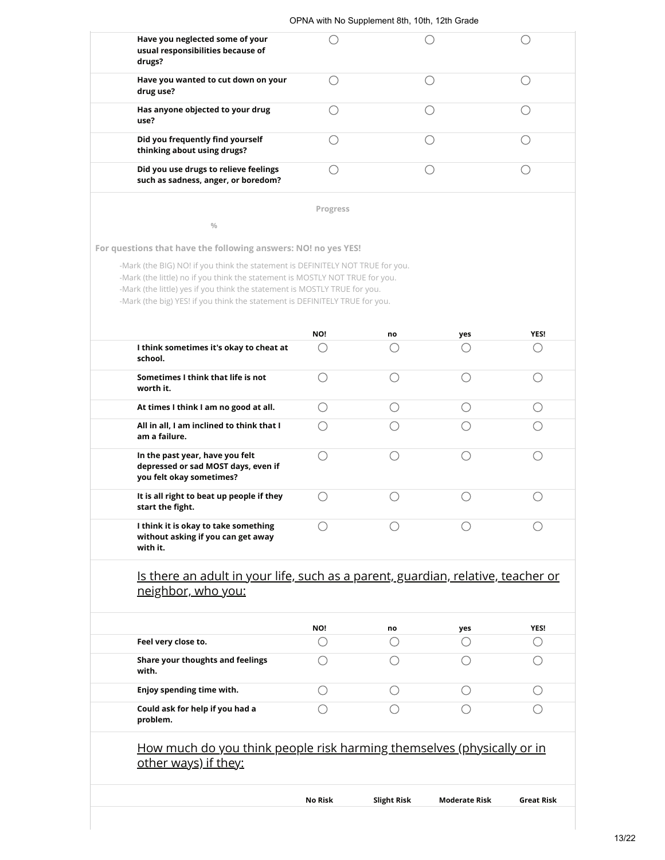| Have you neglected some of your<br>usual responsibilities because of<br>drugs? |          |  |  |  |  |  |
|--------------------------------------------------------------------------------|----------|--|--|--|--|--|
| Have you wanted to cut down on your<br>drug use?                               |          |  |  |  |  |  |
| Has anyone objected to your drug<br>use?                                       |          |  |  |  |  |  |
| Did you frequently find yourself<br>thinking about using drugs?                |          |  |  |  |  |  |
| Did you use drugs to relieve feelings<br>such as sadness, anger, or boredom?   |          |  |  |  |  |  |
|                                                                                | Progress |  |  |  |  |  |
| 0/0                                                                            |          |  |  |  |  |  |
| For questions that have the following answers: NO! no yes YES!                 |          |  |  |  |  |  |
| -Mark (the BIG) NO! if you think the statement is DEFINITELY NOT TRUE for you. |          |  |  |  |  |  |

-Mark (the little) no if you think the statement is MOSTLY NOT TRUE for you. -Mark (the little) yes if you think the statement is MOSTLY TRUE for you.

-Mark (the big) YES! if you think the statement is DEFINITELY TRUE for you.

|                                                                                                    | NO! | no | yes | YES! |
|----------------------------------------------------------------------------------------------------|-----|----|-----|------|
| I think sometimes it's okay to cheat at<br>school.                                                 |     |    |     |      |
| Sometimes I think that life is not<br>worth it.                                                    |     |    |     |      |
| At times I think I am no good at all.                                                              |     |    |     |      |
| All in all, I am inclined to think that I<br>am a failure.                                         |     |    |     |      |
| In the past year, have you felt<br>depressed or sad MOST days, even if<br>you felt okay sometimes? |     |    |     |      |
| It is all right to beat up people if they<br>start the fight.                                      |     |    |     |      |
| I think it is okay to take something<br>without asking if you can get away<br>with it.             |     |    |     |      |

## Is there an adult in your life, such as a parent, guardian, relative, teacher or neighbor, who you:

|                                             | NO! | no | yes | YES! |
|---------------------------------------------|-----|----|-----|------|
| Feel very close to.                         |     |    |     |      |
| Share your thoughts and feelings<br>with.   |     |    |     |      |
| Enjoy spending time with.                   |     |    |     |      |
| Could ask for help if you had a<br>problem. |     |    |     |      |

## How much do you think people risk harming themselves (physically or in <u>other ways) if they:</u>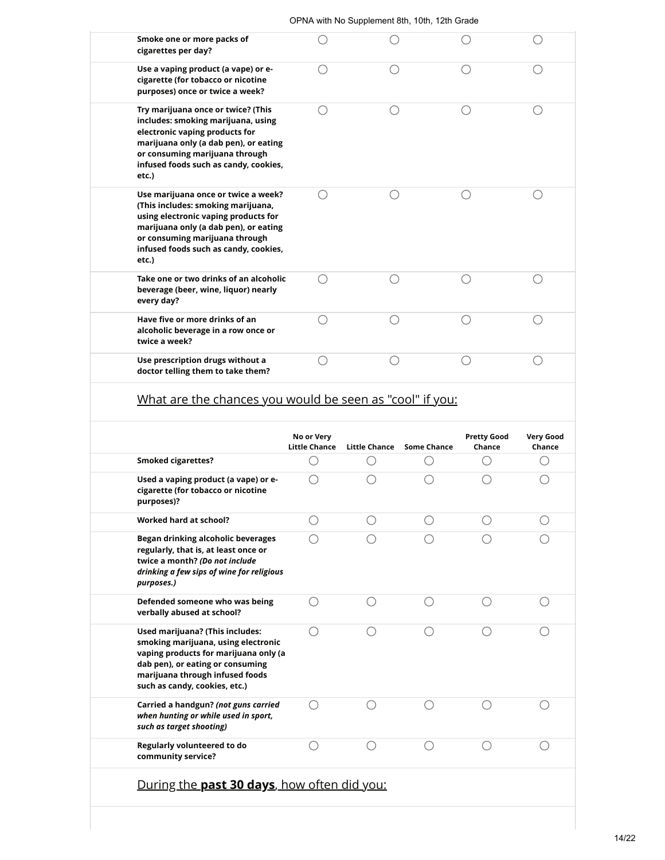# What are the chances you would be seen as "cool" if you:

|                                                                                                                                                                                                                         | No or Very<br><b>Little Chance</b> | <b>Little Chance</b> | <b>Some Chance</b> | <b>Pretty Good</b><br>Chance | <b>Very Good</b><br>Chance |
|-------------------------------------------------------------------------------------------------------------------------------------------------------------------------------------------------------------------------|------------------------------------|----------------------|--------------------|------------------------------|----------------------------|
| <b>Smoked cigarettes?</b>                                                                                                                                                                                               |                                    |                      |                    |                              |                            |
| Used a vaping product (a vape) or e-<br>cigarette (for tobacco or nicotine<br>purposes)?                                                                                                                                |                                    |                      |                    |                              |                            |
| <b>Worked hard at school?</b>                                                                                                                                                                                           |                                    | $( \ )$              |                    |                              |                            |
| Began drinking alcoholic beverages<br>regularly, that is, at least once or<br>twice a month? (Do not include<br>drinking a few sips of wine for religious<br>purposes.)                                                 |                                    |                      |                    |                              |                            |
| Defended someone who was being<br>verbally abused at school?                                                                                                                                                            |                                    |                      |                    |                              |                            |
| Used marijuana? (This includes:<br>smoking marijuana, using electronic<br>vaping products for marijuana only (a<br>dab pen), or eating or consuming<br>marijuana through infused foods<br>such as candy, cookies, etc.) |                                    |                      |                    |                              |                            |
| Carried a handgun? (not guns carried<br>when hunting or while used in sport,<br>such as target shooting)                                                                                                                |                                    |                      |                    |                              |                            |
| Regularly volunteered to do<br>community service?                                                                                                                                                                       |                                    |                      |                    |                              |                            |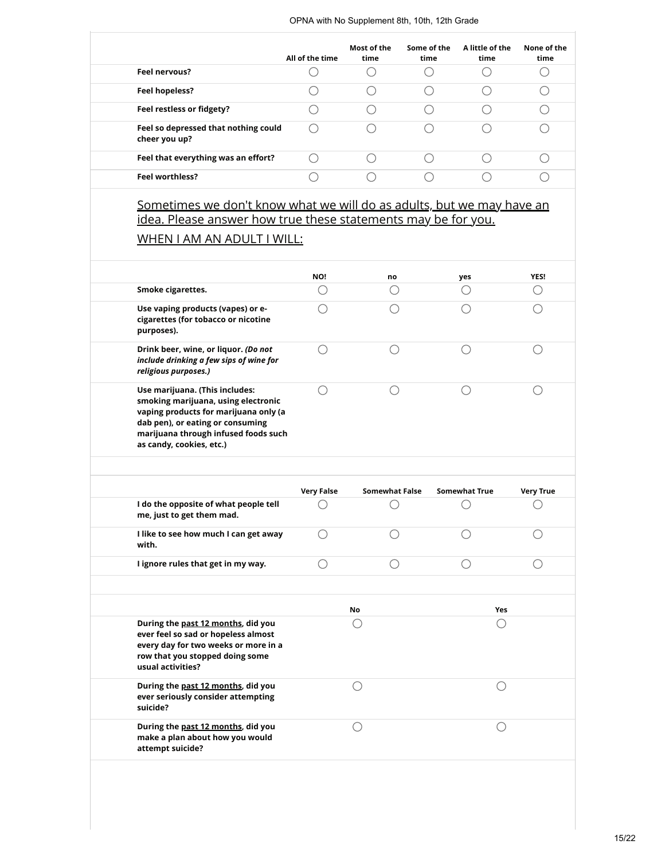|                                                       | All of the time | Most of the<br>time | Some of the<br>time | A little of the<br>time | None of the<br>time |
|-------------------------------------------------------|-----------------|---------------------|---------------------|-------------------------|---------------------|
| Feel nervous?                                         |                 |                     |                     |                         |                     |
| Feel hopeless?                                        |                 |                     |                     |                         |                     |
| Feel restless or fidgety?                             |                 |                     |                     |                         |                     |
| Feel so depressed that nothing could<br>cheer you up? |                 |                     |                     |                         |                     |
| Feel that everything was an effort?                   |                 |                     |                     |                         |                     |
| <b>Feel worthless?</b>                                |                 |                     |                     |                         |                     |

### Sometimes we don't know what we will do as adults, but we may have an idea. Please answer how true these statements may be for you.

## WHEN I AM AN ADULT I WILL:

|                                                                                                                                                                                                                        | NO! | no | yes | <b>YES!</b> |
|------------------------------------------------------------------------------------------------------------------------------------------------------------------------------------------------------------------------|-----|----|-----|-------------|
| Smoke cigarettes.                                                                                                                                                                                                      |     |    |     |             |
| Use vaping products (vapes) or e-<br>cigarettes (for tobacco or nicotine<br>purposes).                                                                                                                                 |     |    |     |             |
| Drink beer, wine, or liquor. (Do not<br>include drinking a few sips of wine for<br>religious purposes.)                                                                                                                |     |    |     |             |
| Use marijuana. (This includes:<br>smoking marijuana, using electronic<br>vaping products for marijuana only (a<br>dab pen), or eating or consuming<br>marijuana through infused foods such<br>as candy, cookies, etc.) |     |    |     |             |

|                                                                                                                                                                           | <b>Very False</b> | Somewhat False | <b>Somewhat True</b> | <b>Very True</b> |
|---------------------------------------------------------------------------------------------------------------------------------------------------------------------------|-------------------|----------------|----------------------|------------------|
| I do the opposite of what people tell<br>me, just to get them mad.                                                                                                        |                   |                |                      |                  |
| I like to see how much I can get away<br>with.                                                                                                                            |                   |                |                      |                  |
| I ignore rules that get in my way.                                                                                                                                        |                   |                |                      |                  |
|                                                                                                                                                                           |                   |                |                      |                  |
|                                                                                                                                                                           |                   | <b>No</b>      | <b>Yes</b>           |                  |
| During the past 12 months, did you<br>ever feel so sad or hopeless almost<br>every day for two weeks or more in a<br>row that you stopped doing some<br>usual activities? |                   |                |                      |                  |
| During the past 12 months, did you<br>ever seriously consider attempting<br>suicide?                                                                                      |                   |                |                      |                  |
| During the past 12 months, did you<br>make a plan about how you would<br>attempt suicide?                                                                                 |                   |                |                      |                  |
|                                                                                                                                                                           |                   |                |                      |                  |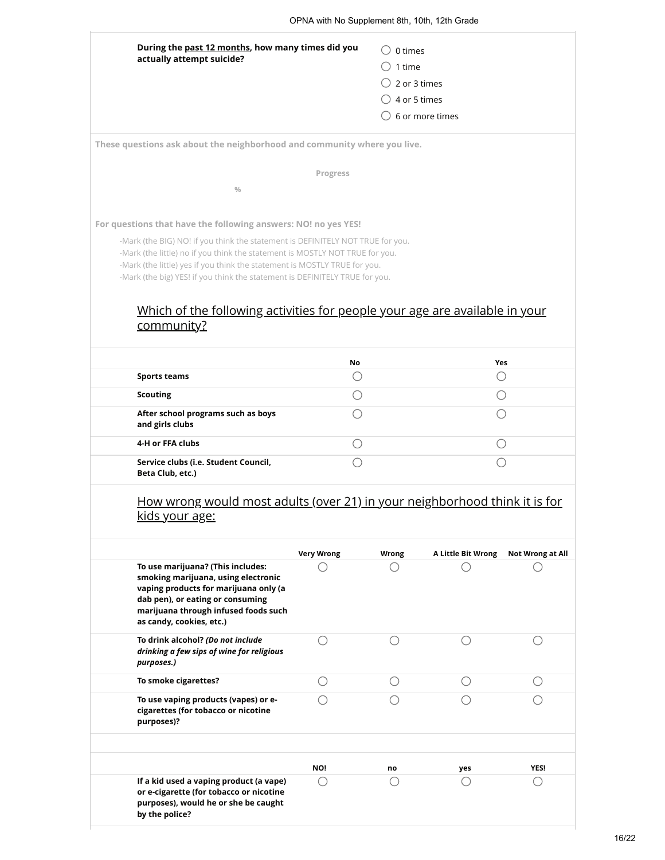|                                                                                                                                                                                                                           | OPNA with No Supplement 8th, 10th, 12th Grade |                         |                            |                                             |
|---------------------------------------------------------------------------------------------------------------------------------------------------------------------------------------------------------------------------|-----------------------------------------------|-------------------------|----------------------------|---------------------------------------------|
| During the past 12 months, how many times did you                                                                                                                                                                         |                                               | $\bigcirc$ 0 times      |                            |                                             |
| actually attempt suicide?                                                                                                                                                                                                 |                                               | $\bigcirc$ 1 time       |                            |                                             |
|                                                                                                                                                                                                                           |                                               | $\bigcirc$ 2 or 3 times |                            |                                             |
|                                                                                                                                                                                                                           |                                               | $\bigcirc$ 4 or 5 times |                            |                                             |
|                                                                                                                                                                                                                           |                                               |                         | $\bigcirc$ 6 or more times |                                             |
| These questions ask about the neighborhood and community where you live.                                                                                                                                                  |                                               |                         |                            |                                             |
|                                                                                                                                                                                                                           | Progress                                      |                         |                            |                                             |
| $\frac{0}{0}$                                                                                                                                                                                                             |                                               |                         |                            |                                             |
| For questions that have the following answers: NO! no yes YES!                                                                                                                                                            |                                               |                         |                            |                                             |
|                                                                                                                                                                                                                           |                                               |                         |                            |                                             |
| Which of the following activities for people your age are available in your<br>community?                                                                                                                                 | No                                            |                         |                            | Yes                                         |
| <b>Sports teams</b>                                                                                                                                                                                                       | O                                             |                         |                            | $\left(\begin{array}{c} \end{array}\right)$ |
| <b>Scouting</b>                                                                                                                                                                                                           | ∩                                             |                         |                            | О                                           |
| After school programs such as boys<br>and girls clubs                                                                                                                                                                     | $\left(\begin{array}{c} \end{array}\right)$   |                         |                            | ()                                          |
| 4-H or FFA clubs                                                                                                                                                                                                          | $\bigcirc$                                    |                         |                            | О                                           |
| Service clubs (i.e. Student Council,<br>Beta Club, etc.)                                                                                                                                                                  |                                               |                         |                            | ∩                                           |
| How wrong would most adults (over 21) in your neighborhood think it is for<br>kids your age:                                                                                                                              |                                               |                         |                            |                                             |
|                                                                                                                                                                                                                           | <b>Very Wrong</b>                             | Wrong                   | A Little Bit Wrong         | Not Wrong at All                            |
| To use marijuana? (This includes:<br>smoking marijuana, using electronic<br>vaping products for marijuana only (a<br>dab pen), or eating or consuming<br>marijuana through infused foods such<br>as candy, cookies, etc.) | ()                                            | ()                      | $\left(\ \right)$          |                                             |
| To drink alcohol? (Do not include<br>drinking a few sips of wine for religious                                                                                                                                            | ◯                                             |                         | ()                         |                                             |

| To smoke cigarettes?                                                                                                                         |     |    |     |      |
|----------------------------------------------------------------------------------------------------------------------------------------------|-----|----|-----|------|
| To use vaping products (vapes) or e-<br>cigarettes (for tobacco or nicotine<br>purposes)?                                                    |     |    |     |      |
|                                                                                                                                              |     |    |     |      |
|                                                                                                                                              | NO! | no | yes | YES! |
| If a kid used a vaping product (a vape)<br>or e-cigarette (for tobacco or nicotine<br>purposes), would he or she be caught<br>by the police? |     |    |     |      |
|                                                                                                                                              |     |    |     |      |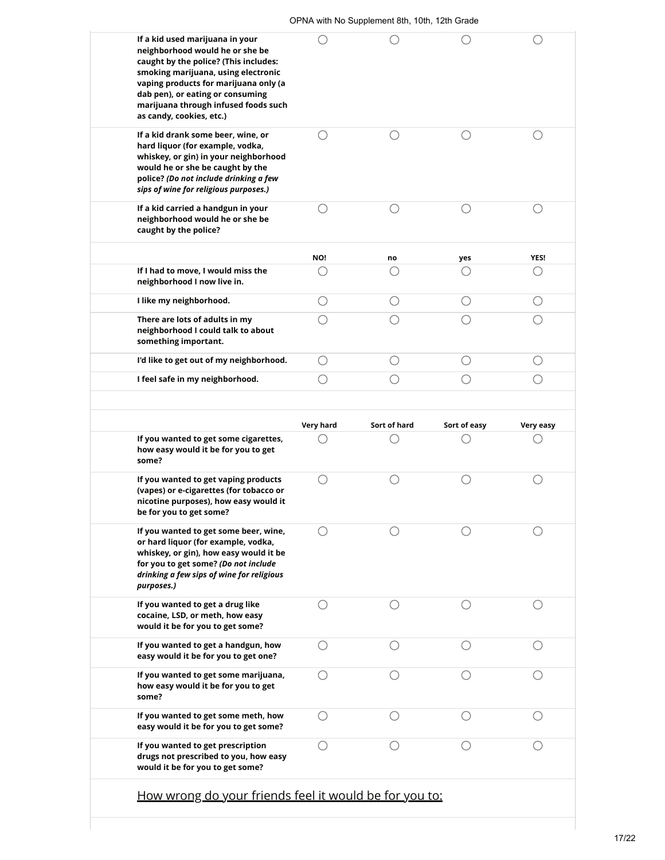| neighborhood would he or she be<br>caught by the police? (This includes:<br>smoking marijuana, using electronic<br>vaping products for marijuana only (a<br>dab pen), or eating or consuming<br>marijuana through infused foods such<br>as candy, cookies, etc.) |           |              |              |                                             |
|------------------------------------------------------------------------------------------------------------------------------------------------------------------------------------------------------------------------------------------------------------------|-----------|--------------|--------------|---------------------------------------------|
| If a kid drank some beer, wine, or<br>hard liquor (for example, vodka,<br>whiskey, or gin) in your neighborhood<br>would he or she be caught by the<br>police? (Do not include drinking a few<br>sips of wine for religious purposes.)                           |           |              |              |                                             |
| If a kid carried a handgun in your<br>neighborhood would he or she be<br>caught by the police?                                                                                                                                                                   | ()        | ∩            | ∩            | ∩                                           |
|                                                                                                                                                                                                                                                                  | NO!       | no           | yes          | YES!                                        |
| If I had to move, I would miss the<br>neighborhood I now live in.                                                                                                                                                                                                |           | С.           | ()           | ()                                          |
| I like my neighborhood.                                                                                                                                                                                                                                          | ()        | ( )          | ()           | ()                                          |
| There are lots of adults in my<br>neighborhood I could talk to about<br>something important.                                                                                                                                                                     | ()        | ∩            | ()           | ∩                                           |
| I'd like to get out of my neighborhood.                                                                                                                                                                                                                          | ∩         | ()           | ()           | ()                                          |
| I feel safe in my neighborhood.                                                                                                                                                                                                                                  |           | ()           | ()           | ()                                          |
|                                                                                                                                                                                                                                                                  |           |              |              |                                             |
|                                                                                                                                                                                                                                                                  | Very hard | Sort of hard | Sort of easy | Very easy                                   |
| If you wanted to get some cigarettes,<br>how easy would it be for you to get<br>some?                                                                                                                                                                            |           |              |              |                                             |
| If you wanted to get vaping products<br>(vapes) or e-cigarettes (for tobacco or<br>nicotine purposes), how easy would it<br>be for you to get some?                                                                                                              | ()        | ◯            |              | $\left(\begin{array}{c} \end{array}\right)$ |
| If you wanted to get some beer, wine,<br>or hard liquor (for example, vodka,<br>whiskey, or gin), how easy would it be<br>for you to get some? (Do not include<br>drinking a few sips of wine for religious<br>purposes.)                                        |           |              |              |                                             |
| If you wanted to get a drug like<br>cocaine, LSD, or meth, how easy<br>would it be for you to get some?                                                                                                                                                          |           |              |              |                                             |
| If you wanted to get a handgun, how<br>easy would it be for you to get one?                                                                                                                                                                                      | ()        | ○            | ◯            | ( )                                         |
| If you wanted to get some marijuana,<br>how easy would it be for you to get<br>some?                                                                                                                                                                             | ()        |              |              |                                             |
| If you wanted to get some meth, how<br>easy would it be for you to get some?                                                                                                                                                                                     | С.        | С.           |              |                                             |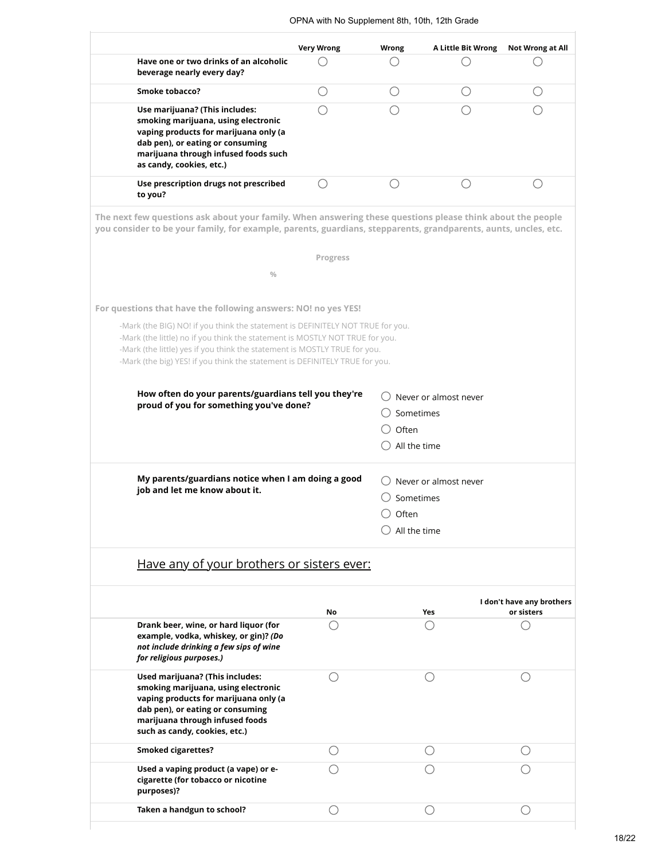|                                                                                                                                                                                                                                                                                                                            | <b>Very Wrong</b> | Wrong              | <b>A Little Bit Wrong</b> | <b>Not Wrong at All</b>                 |
|----------------------------------------------------------------------------------------------------------------------------------------------------------------------------------------------------------------------------------------------------------------------------------------------------------------------------|-------------------|--------------------|---------------------------|-----------------------------------------|
| Have one or two drinks of an alcoholic<br>beverage nearly every day?                                                                                                                                                                                                                                                       |                   |                    |                           |                                         |
| Smoke tobacco?                                                                                                                                                                                                                                                                                                             | O                 | ()                 | ()                        |                                         |
| Use marijuana? (This includes:<br>smoking marijuana, using electronic<br>vaping products for marijuana only (a<br>dab pen), or eating or consuming<br>marijuana through infused foods such<br>as candy, cookies, etc.)                                                                                                     |                   |                    |                           |                                         |
| Use prescription drugs not prescribed<br>to you?                                                                                                                                                                                                                                                                           | ◯                 | ∩                  | ()                        |                                         |
| The next few questions ask about your family. When answering these questions please think about the people<br>you consider to be your family, for example, parents, guardians, stepparents, grandparents, aunts, uncles, etc.                                                                                              |                   |                    |                           |                                         |
|                                                                                                                                                                                                                                                                                                                            | Progress          |                    |                           |                                         |
| $\frac{0}{0}$                                                                                                                                                                                                                                                                                                              |                   |                    |                           |                                         |
| For questions that have the following answers: NO! no yes YES!                                                                                                                                                                                                                                                             |                   |                    |                           |                                         |
| -Mark (the BIG) NO! if you think the statement is DEFINITELY NOT TRUE for you.<br>-Mark (the little) no if you think the statement is MOSTLY NOT TRUE for you.<br>-Mark (the little) yes if you think the statement is MOSTLY TRUE for you.<br>-Mark (the big) YES! if you think the statement is DEFINITELY TRUE for you. |                   |                    |                           |                                         |
| How often do your parents/guardians tell you they're<br>proud of you for something you've done?                                                                                                                                                                                                                            |                   | Sometimes<br>Often | Never or almost never     |                                         |
|                                                                                                                                                                                                                                                                                                                            |                   | All the time       |                           |                                         |
| My parents/guardians notice when I am doing a good                                                                                                                                                                                                                                                                         |                   |                    | Never or almost never     |                                         |
| job and let me know about it.                                                                                                                                                                                                                                                                                              |                   | Sometimes          |                           |                                         |
|                                                                                                                                                                                                                                                                                                                            |                   | Often              |                           |                                         |
|                                                                                                                                                                                                                                                                                                                            |                   | All the time       |                           |                                         |
| Have any of your brothers or sisters ever:                                                                                                                                                                                                                                                                                 |                   |                    |                           |                                         |
|                                                                                                                                                                                                                                                                                                                            | No                |                    | Yes                       | I don't have any brothers<br>or sisters |
| Drank beer, wine, or hard liquor (for<br>example, vodka, whiskey, or gin)? (Do<br>not include drinking a few sips of wine<br>for religious purposes.)                                                                                                                                                                      |                   |                    |                           |                                         |
| Used marijuana? (This includes:<br>smoking marijuana, using electronic<br>vaping products for marijuana only (a<br>dab pen), or eating or consuming<br>marijuana through infused foods<br>such as candy, cookies, etc.)                                                                                                    |                   |                    |                           |                                         |
| <b>Smoked cigarettes?</b>                                                                                                                                                                                                                                                                                                  |                   |                    |                           | ()                                      |
| Used a vaping product (a vape) or e-<br>cigarette (for tobacco or nicotine<br>purposes)?                                                                                                                                                                                                                                   |                   |                    |                           |                                         |
| Taken a handgun to school?                                                                                                                                                                                                                                                                                                 |                   |                    |                           |                                         |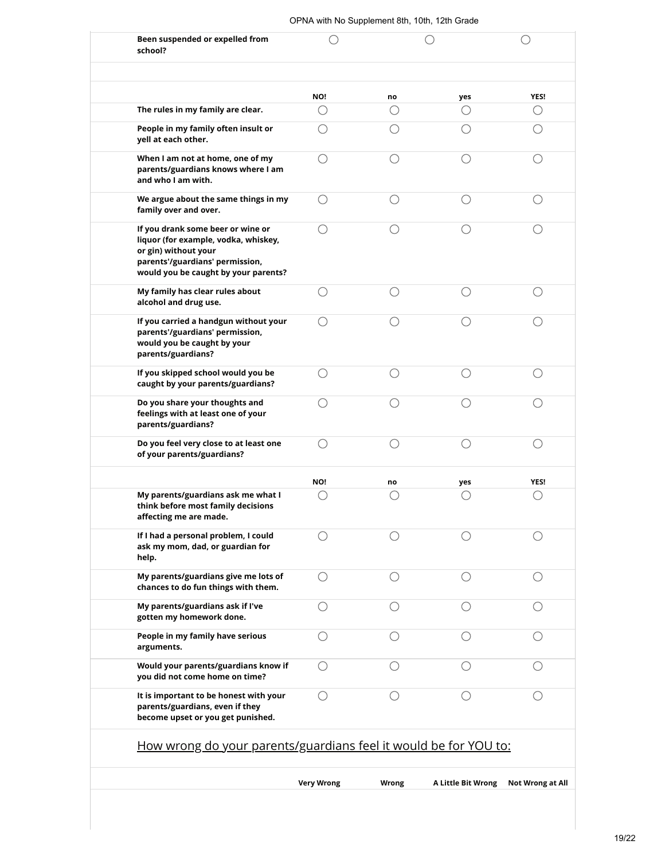| OPNA with No Supplement 8th, 10th, 12th Grade |  |
|-----------------------------------------------|--|
|                                               |  |

| Been suspended or expelled from<br>school?                                                                                                                                   |                   |       |                           |                         |
|------------------------------------------------------------------------------------------------------------------------------------------------------------------------------|-------------------|-------|---------------------------|-------------------------|
|                                                                                                                                                                              | NO!               | no    | yes                       | YES!                    |
| The rules in my family are clear.                                                                                                                                            | ()                | ⊖     | ()                        | ()                      |
| People in my family often insult or<br>yell at each other.                                                                                                                   |                   |       |                           |                         |
| When I am not at home, one of my<br>parents/guardians knows where I am<br>and who I am with.                                                                                 | ()                |       |                           |                         |
| We argue about the same things in my<br>family over and over.                                                                                                                | ()                | C .   |                           |                         |
| If you drank some beer or wine or<br>liquor (for example, vodka, whiskey,<br>or gin) without your<br>parents'/guardians' permission,<br>would you be caught by your parents? |                   |       |                           |                         |
| My family has clear rules about<br>alcohol and drug use.                                                                                                                     | ()                | ⊂     |                           |                         |
| If you carried a handgun without your<br>parents'/guardians' permission,<br>would you be caught by your<br>parents/guardians?                                                |                   |       |                           |                         |
| If you skipped school would you be<br>caught by your parents/guardians?                                                                                                      |                   |       |                           |                         |
| Do you share your thoughts and<br>feelings with at least one of your<br>parents/guardians?                                                                                   |                   |       |                           |                         |
| Do you feel very close to at least one<br>of your parents/guardians?                                                                                                         |                   | C     |                           |                         |
|                                                                                                                                                                              | NO!               | no    | yes                       | <b>YES!</b>             |
| My parents/guardians ask me what I<br>think before most family decisions<br>affecting me are made.                                                                           |                   |       |                           |                         |
| If I had a personal problem, I could<br>ask my mom, dad, or guardian for<br>help.                                                                                            |                   |       |                           |                         |
| My parents/guardians give me lots of<br>chances to do fun things with them.                                                                                                  | ∩                 | ∩     | ∩                         | ()                      |
| My parents/guardians ask if I've<br>gotten my homework done.                                                                                                                 | ( )               | С.    |                           |                         |
| People in my family have serious<br>arguments.                                                                                                                               | ()                |       |                           |                         |
| Would your parents/guardians know if<br>you did not come home on time?                                                                                                       | ()                |       |                           |                         |
| It is important to be honest with your<br>parents/guardians, even if they<br>become upset or you get punished.                                                               | ( )               |       |                           |                         |
| How wrong do your parents/guardians feel it would be for YOU to:                                                                                                             |                   |       |                           |                         |
|                                                                                                                                                                              | <b>Very Wrong</b> | Wrong | <b>A Little Bit Wrong</b> | <b>Not Wrong at All</b> |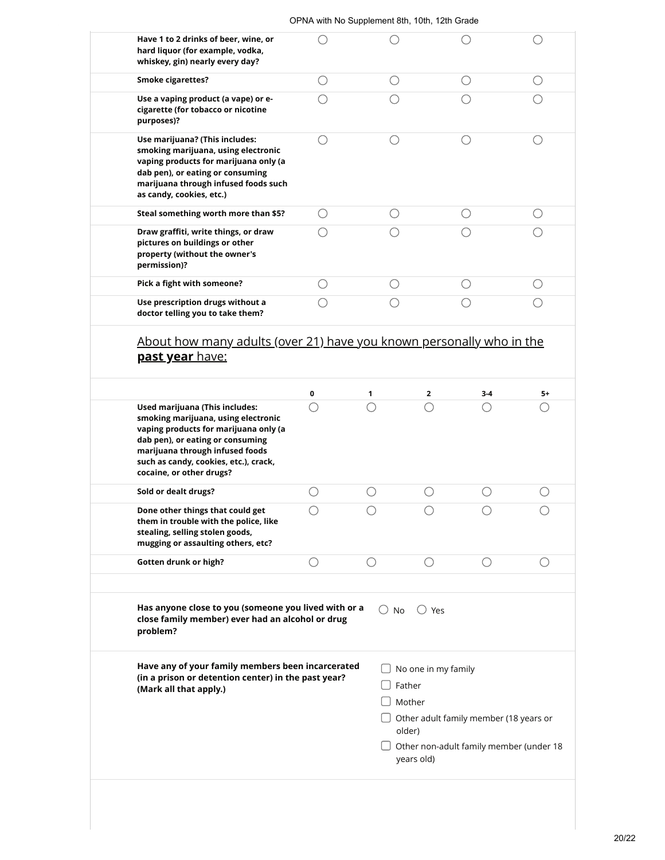| OPNA with No Supplement 8th, 10th, 12th Grade |  |
|-----------------------------------------------|--|
|-----------------------------------------------|--|

| Have 1 to 2 drinks of beer, wine, or<br>hard liquor (for example, vodka,<br>whiskey, gin) nearly every day?                                                                                                            |                                             |                 |                    | $\left(\ \right)$ |
|------------------------------------------------------------------------------------------------------------------------------------------------------------------------------------------------------------------------|---------------------------------------------|-----------------|--------------------|-------------------|
| <b>Smoke cigarettes?</b>                                                                                                                                                                                               | О                                           | O               | ( )                | ()                |
| Use a vaping product (a vape) or e-<br>cigarette (for tobacco or nicotine<br>purposes)?                                                                                                                                | ◯                                           | ( )             | ()                 |                   |
| Use marijuana? (This includes:<br>smoking marijuana, using electronic<br>vaping products for marijuana only (a<br>dab pen), or eating or consuming<br>marijuana through infused foods such<br>as candy, cookies, etc.) | $\bigcirc$                                  | $\bigcirc$      | $\bigcirc$         | O                 |
| Steal something worth more than \$5?                                                                                                                                                                                   | ( )                                         | O               | ()                 | ()                |
| Draw graffiti, write things, or draw<br>pictures on buildings or other<br>property (without the owner's<br>permission)?                                                                                                | $\left(\begin{array}{c} \end{array}\right)$ | ()              |                    |                   |
| Pick a fight with someone?                                                                                                                                                                                             | О                                           | $\bigcirc$      | О                  | $\bigcirc$        |
| Use prescription drugs without a<br>doctor telling you to take them?                                                                                                                                                   | $\bigcirc$                                  | $\bigcirc$      | ∩                  | O                 |
| <u>past year have:</u>                                                                                                                                                                                                 |                                             |                 |                    |                   |
|                                                                                                                                                                                                                        |                                             |                 |                    |                   |
| Used marijuana (This includes:<br>smoking marijuana, using electronic<br>vaping products for marijuana only (a<br>dab pen), or eating or consuming<br>marijuana through infused foods                                  | 0<br>$\bigcirc$                             | 1<br>$\bigcirc$ | 2<br>3-4<br>◯<br>O | 5+<br>C           |
| such as candy, cookies, etc.), crack,<br>cocaine, or other drugs?                                                                                                                                                      |                                             |                 |                    |                   |
| Sold or dealt drugs?                                                                                                                                                                                                   | O                                           | $\bigcirc$      | ∩<br>C             | C                 |
| Done other things that could get<br>them in trouble with the police, like<br>stealing, selling stolen goods,<br>mugging or assaulting others, etc?                                                                     |                                             |                 |                    |                   |
| Gotten drunk or high?                                                                                                                                                                                                  | O                                           | O               | ()<br>()           | O                 |
| Has anyone close to you (someone you lived with or a<br>close family member) ever had an alcohol or drug<br>problem?                                                                                                   |                                             | $\bigcirc$ No   | () Yes             |                   |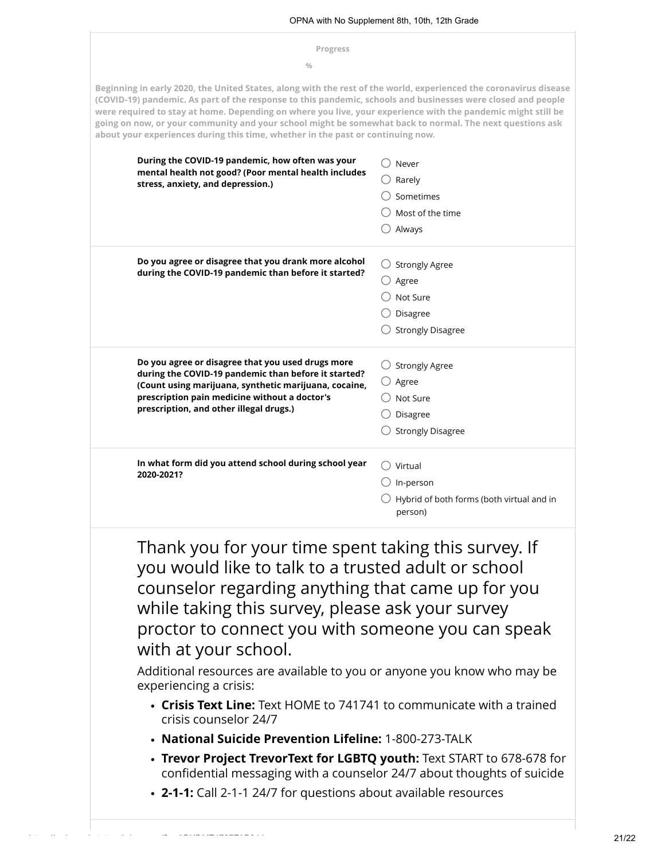| Progress                                                                                                                                                                                                                                                                                                                                                                                                                                                                                                                                         |                                                      |
|--------------------------------------------------------------------------------------------------------------------------------------------------------------------------------------------------------------------------------------------------------------------------------------------------------------------------------------------------------------------------------------------------------------------------------------------------------------------------------------------------------------------------------------------------|------------------------------------------------------|
| $\frac{0}{0}$                                                                                                                                                                                                                                                                                                                                                                                                                                                                                                                                    |                                                      |
| Beginning in early 2020, the United States, along with the rest of the world, experienced the coronavirus disease<br>(COVID-19) pandemic. As part of the response to this pandemic, schools and businesses were closed and people<br>were required to stay at home. Depending on where you live, your experience with the pandemic might still be<br>going on now, or your community and your school might be somewhat back to normal. The next questions ask<br>about your experiences during this time, whether in the past or continuing now. |                                                      |
| During the COVID-19 pandemic, how often was your                                                                                                                                                                                                                                                                                                                                                                                                                                                                                                 | Never                                                |
| mental health not good? (Poor mental health includes                                                                                                                                                                                                                                                                                                                                                                                                                                                                                             | Rarely                                               |
| stress, anxiety, and depression.)                                                                                                                                                                                                                                                                                                                                                                                                                                                                                                                | Sometimes                                            |
|                                                                                                                                                                                                                                                                                                                                                                                                                                                                                                                                                  | Most of the time                                     |
|                                                                                                                                                                                                                                                                                                                                                                                                                                                                                                                                                  | Always                                               |
| Do you agree or disagree that you drank more alcohol                                                                                                                                                                                                                                                                                                                                                                                                                                                                                             | $\bigcirc$ Strongly Agree                            |
| during the COVID-19 pandemic than before it started?                                                                                                                                                                                                                                                                                                                                                                                                                                                                                             | $\cup$ Agree                                         |
|                                                                                                                                                                                                                                                                                                                                                                                                                                                                                                                                                  | Not Sure                                             |
|                                                                                                                                                                                                                                                                                                                                                                                                                                                                                                                                                  | Disagree                                             |
|                                                                                                                                                                                                                                                                                                                                                                                                                                                                                                                                                  | <b>Strongly Disagree</b>                             |
| Do you agree or disagree that you used drugs more                                                                                                                                                                                                                                                                                                                                                                                                                                                                                                | <b>Strongly Agree</b>                                |
| during the COVID-19 pandemic than before it started?<br>(Count using marijuana, synthetic marijuana, cocaine,                                                                                                                                                                                                                                                                                                                                                                                                                                    | $\bigcirc$ Agree                                     |
| prescription pain medicine without a doctor's                                                                                                                                                                                                                                                                                                                                                                                                                                                                                                    | Not Sure                                             |
| prescription, and other illegal drugs.)                                                                                                                                                                                                                                                                                                                                                                                                                                                                                                          | Disagree                                             |
|                                                                                                                                                                                                                                                                                                                                                                                                                                                                                                                                                  | <b>Strongly Disagree</b>                             |
| In what form did you attend school during school year<br>2020-2021?                                                                                                                                                                                                                                                                                                                                                                                                                                                                              | $\cup$ Virtual                                       |
|                                                                                                                                                                                                                                                                                                                                                                                                                                                                                                                                                  | In-person                                            |
|                                                                                                                                                                                                                                                                                                                                                                                                                                                                                                                                                  | Hybrid of both forms (both virtual and in<br>person) |
| Thank you for your time spent taking this survey. If<br>you would like to talk to a trusted adult or school<br>counselor regarding anything that came up for you<br>while taking this survey, please ask your survey<br>proctor to connect you with someone you can speak<br>with at your school.<br>Additional resources are available to you or anyone you know who may be<br>experiencing a crisis:<br>• Crisis Text Line: Text HOME to 741741 to communicate with a trained                                                                  |                                                      |
| crisis counselor 24/7<br>• National Suicide Prevention Lifeline: 1-800-273-TALK                                                                                                                                                                                                                                                                                                                                                                                                                                                                  |                                                      |
| • Trevor Project TrevorText for LGBTQ youth: Text START to 678-678 for                                                                                                                                                                                                                                                                                                                                                                                                                                                                           |                                                      |
| confidential messaging with a counselor 24/7 about thoughts of suicide<br>• 2-1-1: Call 2-1-1 24/7 for questions about available resources                                                                                                                                                                                                                                                                                                                                                                                                       |                                                      |